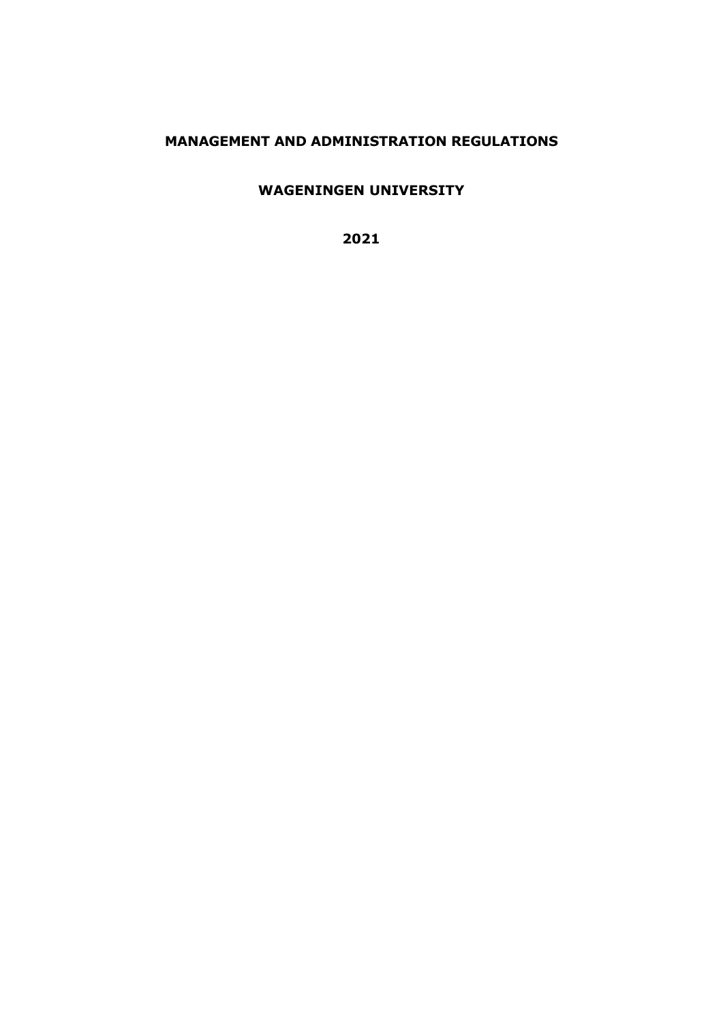# **MANAGEMENT AND ADMINISTRATION REGULATIONS**

**WAGENINGEN UNIVERSITY**

**2021**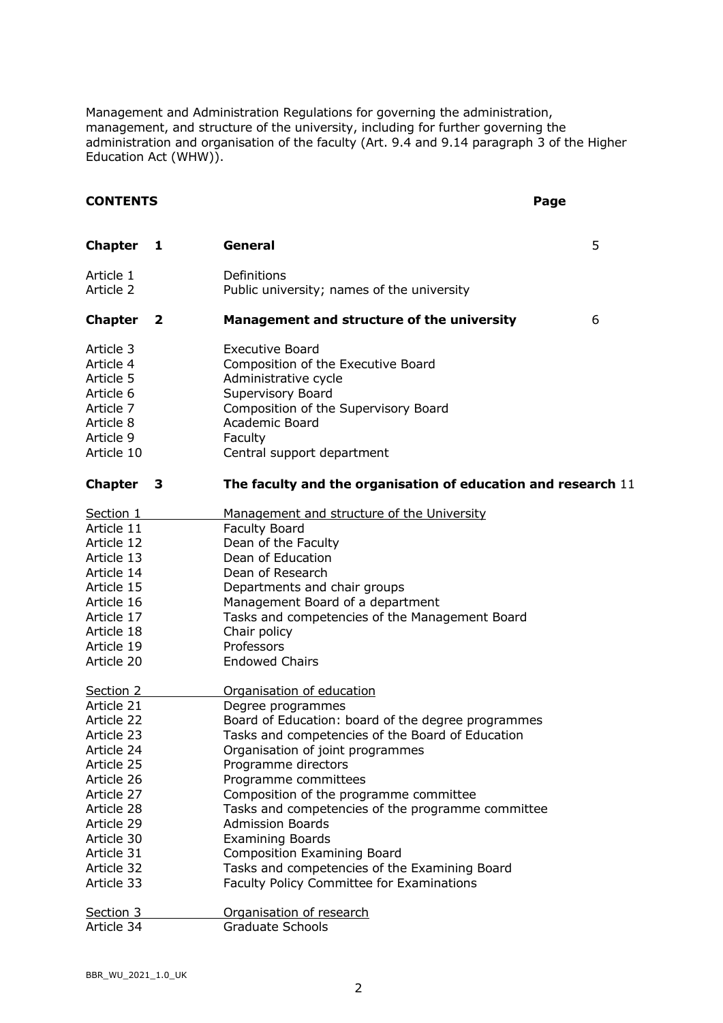Management and Administration Regulations for governing the administration, management, and structure of the university, including for further governing the administration and organisation of the faculty (Art. 9.4 and 9.14 paragraph 3 of the Higher Education Act (WHW)).

## **CONTENTS Page**

| <b>Chapter</b>                                                                                        | 1            | General                                                                                                                                                                                                      | 5 |
|-------------------------------------------------------------------------------------------------------|--------------|--------------------------------------------------------------------------------------------------------------------------------------------------------------------------------------------------------------|---|
| Article 1<br>Article 2                                                                                |              | Definitions<br>Public university; names of the university                                                                                                                                                    |   |
| <b>Chapter</b>                                                                                        | $\mathbf{2}$ | Management and structure of the university                                                                                                                                                                   | 6 |
| Article 3<br>Article 4<br>Article 5<br>Article 6<br>Article 7<br>Article 8<br>Article 9<br>Article 10 |              | <b>Executive Board</b><br>Composition of the Executive Board<br>Administrative cycle<br>Supervisory Board<br>Composition of the Supervisory Board<br>Academic Board<br>Faculty<br>Central support department |   |
| <b>Chapter</b>                                                                                        | $\mathbf{3}$ | The faculty and the organisation of education and research 11                                                                                                                                                |   |
| Section 1                                                                                             |              | Management and structure of the University                                                                                                                                                                   |   |
| Article 11                                                                                            |              | <b>Faculty Board</b>                                                                                                                                                                                         |   |
| Article 12                                                                                            |              | Dean of the Faculty                                                                                                                                                                                          |   |
| Article 13                                                                                            |              | Dean of Education                                                                                                                                                                                            |   |
| Article 14                                                                                            |              | Dean of Research                                                                                                                                                                                             |   |
| Article 15                                                                                            |              | Departments and chair groups                                                                                                                                                                                 |   |
| Article 16                                                                                            |              | Management Board of a department                                                                                                                                                                             |   |
| Article 17                                                                                            |              | Tasks and competencies of the Management Board                                                                                                                                                               |   |
| Article 18                                                                                            |              | Chair policy                                                                                                                                                                                                 |   |
| Article 19                                                                                            |              | Professors                                                                                                                                                                                                   |   |
| Article 20                                                                                            |              | <b>Endowed Chairs</b>                                                                                                                                                                                        |   |
| Section 2                                                                                             |              | Organisation of education                                                                                                                                                                                    |   |
| Article 21                                                                                            |              | Degree programmes                                                                                                                                                                                            |   |
| Article 22                                                                                            |              | Board of Education: board of the degree programmes                                                                                                                                                           |   |
| Article 23                                                                                            |              | Tasks and competencies of the Board of Education                                                                                                                                                             |   |
| Article 24                                                                                            |              | Organisation of joint programmes                                                                                                                                                                             |   |
| Article 25                                                                                            |              | Programme directors                                                                                                                                                                                          |   |
| Article 26                                                                                            |              | Programme committees                                                                                                                                                                                         |   |
| Article 27                                                                                            |              | Composition of the programme committee                                                                                                                                                                       |   |
| Article 28                                                                                            |              | Tasks and competencies of the programme committee                                                                                                                                                            |   |
| Article 29                                                                                            |              | <b>Admission Boards</b>                                                                                                                                                                                      |   |
| Article 30                                                                                            |              | <b>Examining Boards</b>                                                                                                                                                                                      |   |
| Article 31                                                                                            |              | <b>Composition Examining Board</b>                                                                                                                                                                           |   |
| Article 32                                                                                            |              | Tasks and competencies of the Examining Board                                                                                                                                                                |   |
| Article 33                                                                                            |              | Faculty Policy Committee for Examinations                                                                                                                                                                    |   |
| Section 3                                                                                             |              | Organisation of research                                                                                                                                                                                     |   |
| Article 34                                                                                            |              | <b>Graduate Schools</b>                                                                                                                                                                                      |   |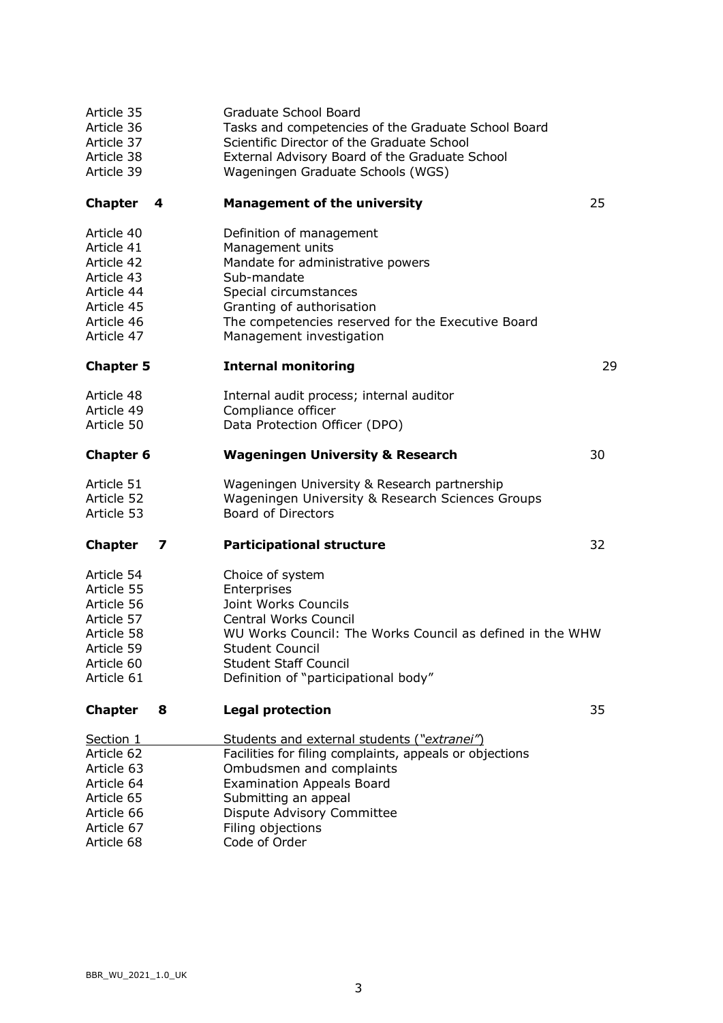| Article 35<br>Article 36<br>Article 37<br>Article 38<br>Article 39                                           |    | Graduate School Board<br>Tasks and competencies of the Graduate School Board<br>Scientific Director of the Graduate School<br>External Advisory Board of the Graduate School<br>Wageningen Graduate Schools (WGS)                                                  |    |
|--------------------------------------------------------------------------------------------------------------|----|--------------------------------------------------------------------------------------------------------------------------------------------------------------------------------------------------------------------------------------------------------------------|----|
| <b>Chapter</b>                                                                                               | -4 | <b>Management of the university</b>                                                                                                                                                                                                                                | 25 |
| Article 40<br>Article 41<br>Article 42<br>Article 43<br>Article 44<br>Article 45<br>Article 46<br>Article 47 |    | Definition of management<br>Management units<br>Mandate for administrative powers<br>Sub-mandate<br>Special circumstances<br>Granting of authorisation<br>The competencies reserved for the Executive Board<br>Management investigation                            |    |
| <b>Chapter 5</b>                                                                                             |    | <b>Internal monitoring</b>                                                                                                                                                                                                                                         | 29 |
| Article 48<br>Article 49<br>Article 50                                                                       |    | Internal audit process; internal auditor<br>Compliance officer<br>Data Protection Officer (DPO)                                                                                                                                                                    |    |
| <b>Chapter 6</b>                                                                                             |    | <b>Wageningen University &amp; Research</b>                                                                                                                                                                                                                        | 30 |
| Article 51<br>Article 52<br>Article 53                                                                       |    | Wageningen University & Research partnership<br>Wageningen University & Research Sciences Groups<br><b>Board of Directors</b>                                                                                                                                      |    |
| <b>Chapter</b>                                                                                               | 7  | <b>Participational structure</b>                                                                                                                                                                                                                                   | 32 |
| Article 54<br>Article 55<br>Article 56<br>Article 57<br>Article 58<br>Article 59<br>Article 60<br>Article 61 |    | Choice of system<br>Enterprises<br>Joint Works Councils<br><b>Central Works Council</b><br>WU Works Council: The Works Council as defined in the WHW<br><b>Student Council</b><br><b>Student Staff Council</b><br>Definition of "participational body"             |    |
| <b>Chapter</b>                                                                                               | 8  | <b>Legal protection</b>                                                                                                                                                                                                                                            | 35 |
| Section 1<br>Article 62<br>Article 63<br>Article 64<br>Article 65<br>Article 66<br>Article 67<br>Article 68  |    | Students and external students ("extranei")<br>Facilities for filing complaints, appeals or objections<br>Ombudsmen and complaints<br><b>Examination Appeals Board</b><br>Submitting an appeal<br>Dispute Advisory Committee<br>Filing objections<br>Code of Order |    |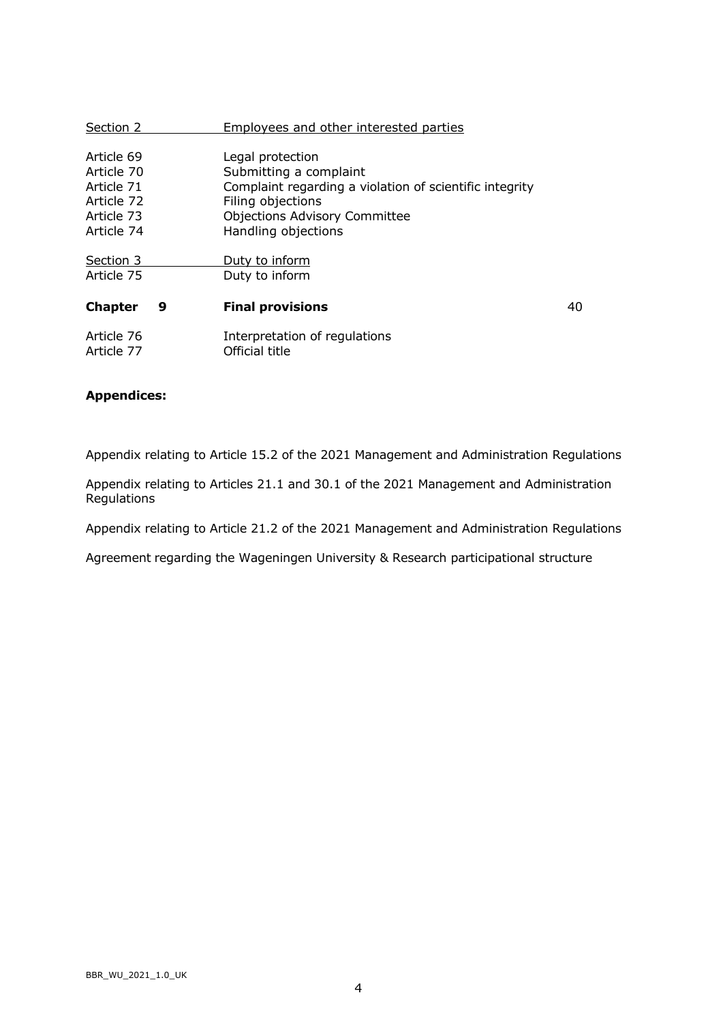| Section 2                                                                        |   | Employees and other interested parties                                                                                                                                                    |    |
|----------------------------------------------------------------------------------|---|-------------------------------------------------------------------------------------------------------------------------------------------------------------------------------------------|----|
| Article 69<br>Article 70<br>Article 71<br>Article 72<br>Article 73<br>Article 74 |   | Legal protection<br>Submitting a complaint<br>Complaint regarding a violation of scientific integrity<br>Filing objections<br><b>Objections Advisory Committee</b><br>Handling objections |    |
| Section 3<br>Article 75                                                          |   | Duty to inform<br>Duty to inform                                                                                                                                                          |    |
| <b>Chapter</b>                                                                   | 9 | <b>Final provisions</b>                                                                                                                                                                   | 40 |
| Article 76<br>Article 77                                                         |   | Interpretation of regulations<br>Official title                                                                                                                                           |    |

# **Appendices:**

Appendix relating to Article 15.2 of the 2021 Management and Administration Regulations

Appendix relating to Articles 21.1 and 30.1 of the 2021 Management and Administration Regulations

Appendix relating to Article 21.2 of the 2021 Management and Administration Regulations

Agreement regarding the Wageningen University & Research participational structure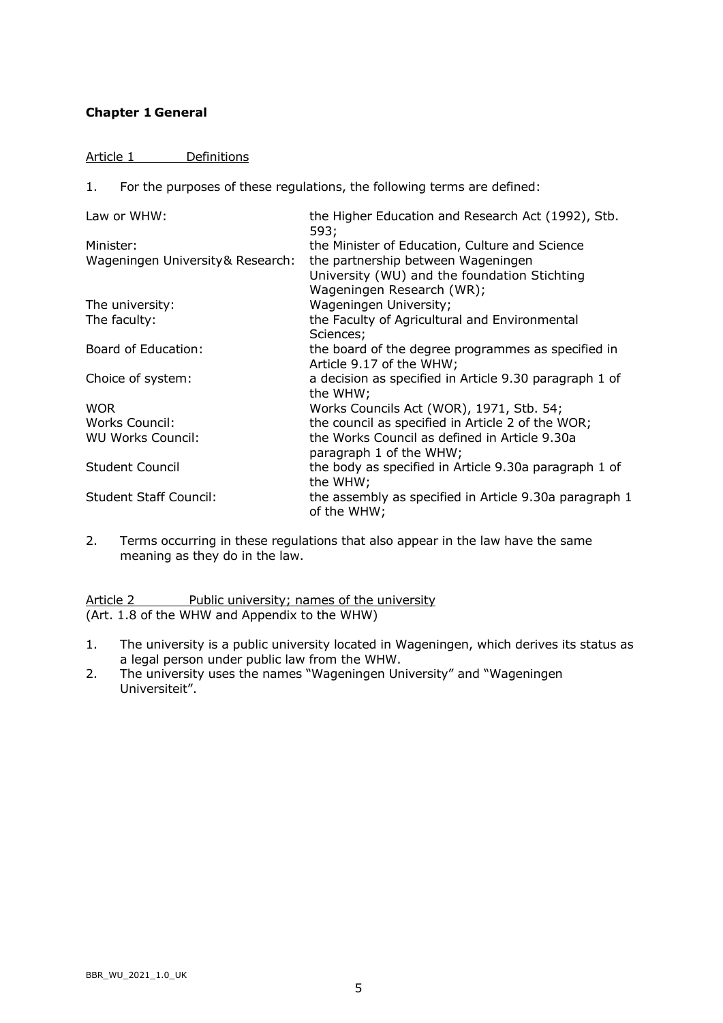# **Chapter 1 General**

## Article 1 Definitions

1. For the purposes of these regulations, the following terms are defined:

| Law or WHW:                       | the Higher Education and Research Act (1992), Stb.<br>593;            |
|-----------------------------------|-----------------------------------------------------------------------|
| Minister:                         | the Minister of Education, Culture and Science                        |
| Wageningen University & Research: | the partnership between Wageningen                                    |
|                                   | University (WU) and the foundation Stichting                          |
|                                   | Wageningen Research (WR);                                             |
| The university:                   | Wageningen University;                                                |
| The faculty:                      | the Faculty of Agricultural and Environmental                         |
|                                   | Sciences;                                                             |
| Board of Education:               | the board of the degree programmes as specified in                    |
|                                   | Article 9.17 of the WHW;                                              |
| Choice of system:                 | a decision as specified in Article 9.30 paragraph 1 of                |
|                                   | the WHW;                                                              |
| <b>WOR</b>                        | Works Councils Act (WOR), 1971, Stb. 54;                              |
| Works Council:                    | the council as specified in Article 2 of the WOR;                     |
| <b>WU Works Council:</b>          | the Works Council as defined in Article 9.30a                         |
|                                   | paragraph 1 of the WHW;                                               |
| <b>Student Council</b>            | the body as specified in Article 9.30a paragraph 1 of                 |
|                                   | the WHW;                                                              |
| <b>Student Staff Council:</b>     | the assembly as specified in Article 9.30a paragraph 1<br>of the WHW; |

2. Terms occurring in these regulations that also appear in the law have the same meaning as they do in the law.

Article 2 Public university; names of the university (Art. 1.8 of the WHW and Appendix to the WHW)

- 1. The university is a public university located in Wageningen, which derives its status as a legal person under public law from the WHW.
- 2. The university uses the names "Wageningen University" and "Wageningen Universiteit".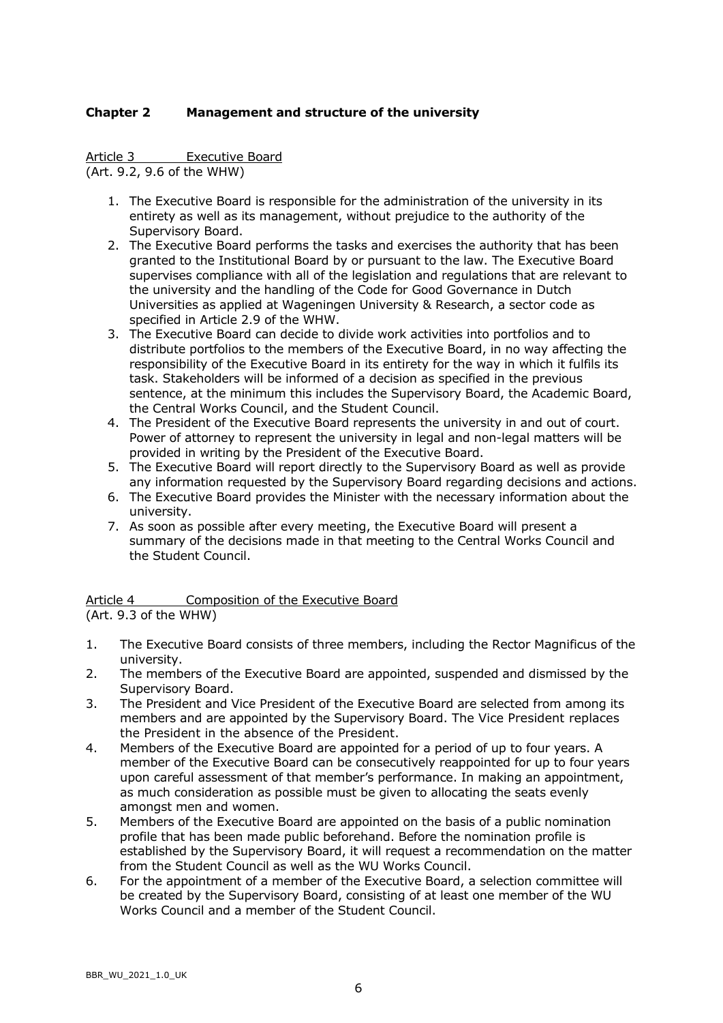# **Chapter 2 Management and structure of the university**

Article 3 Executive Board

(Art. 9.2, 9.6 of the WHW)

- 1. The Executive Board is responsible for the administration of the university in its entirety as well as its management, without prejudice to the authority of the Supervisory Board.
- 2. The Executive Board performs the tasks and exercises the authority that has been granted to the Institutional Board by or pursuant to the law. The Executive Board supervises compliance with all of the legislation and regulations that are relevant to the university and the handling of the Code for Good Governance in Dutch Universities as applied at Wageningen University & Research, a sector code as specified in Article 2.9 of the WHW.
- 3. The Executive Board can decide to divide work activities into portfolios and to distribute portfolios to the members of the Executive Board, in no way affecting the responsibility of the Executive Board in its entirety for the way in which it fulfils its task. Stakeholders will be informed of a decision as specified in the previous sentence, at the minimum this includes the Supervisory Board, the Academic Board, the Central Works Council, and the Student Council.
- 4. The President of the Executive Board represents the university in and out of court. Power of attorney to represent the university in legal and non-legal matters will be provided in writing by the President of the Executive Board.
- 5. The Executive Board will report directly to the Supervisory Board as well as provide any information requested by the Supervisory Board regarding decisions and actions.
- 6. The Executive Board provides the Minister with the necessary information about the university.
- 7. As soon as possible after every meeting, the Executive Board will present a summary of the decisions made in that meeting to the Central Works Council and the Student Council.

Article 4 Composition of the Executive Board

(Art. 9.3 of the WHW)

- 1. The Executive Board consists of three members, including the Rector Magnificus of the university.
- 2. The members of the Executive Board are appointed, suspended and dismissed by the Supervisory Board.
- 3. The President and Vice President of the Executive Board are selected from among its members and are appointed by the Supervisory Board. The Vice President replaces the President in the absence of the President.
- 4. Members of the Executive Board are appointed for a period of up to four years. A member of the Executive Board can be consecutively reappointed for up to four years upon careful assessment of that member's performance. In making an appointment, as much consideration as possible must be given to allocating the seats evenly amongst men and women.
- 5. Members of the Executive Board are appointed on the basis of a public nomination profile that has been made public beforehand. Before the nomination profile is established by the Supervisory Board, it will request a recommendation on the matter from the Student Council as well as the WU Works Council.
- 6. For the appointment of a member of the Executive Board, a selection committee will be created by the Supervisory Board, consisting of at least one member of the WU Works Council and a member of the Student Council.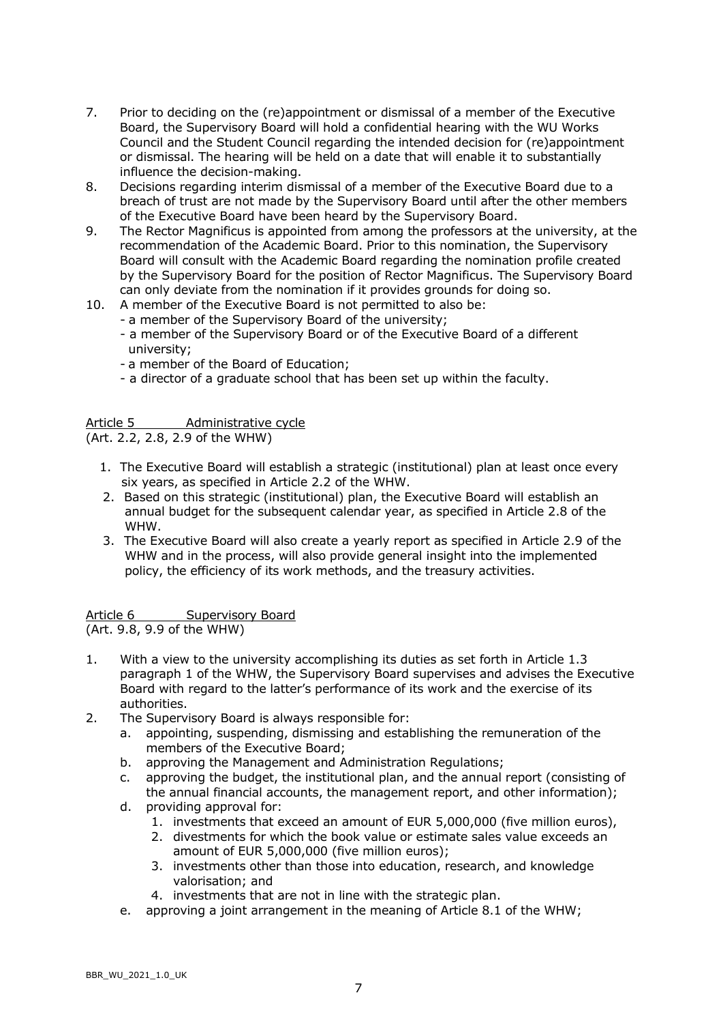- 7. Prior to deciding on the (re)appointment or dismissal of a member of the Executive Board, the Supervisory Board will hold a confidential hearing with the WU Works Council and the Student Council regarding the intended decision for (re)appointment or dismissal. The hearing will be held on a date that will enable it to substantially influence the decision-making.
- 8. Decisions regarding interim dismissal of a member of the Executive Board due to a breach of trust are not made by the Supervisory Board until after the other members of the Executive Board have been heard by the Supervisory Board.
- 9. The Rector Magnificus is appointed from among the professors at the university, at the recommendation of the Academic Board. Prior to this nomination, the Supervisory Board will consult with the Academic Board regarding the nomination profile created by the Supervisory Board for the position of Rector Magnificus. The Supervisory Board can only deviate from the nomination if it provides grounds for doing so.
- 10. A member of the Executive Board is not permitted to also be:
	- a member of the Supervisory Board of the university;
	- a member of the Supervisory Board or of the Executive Board of a different university;
	- a member of the Board of Education;
	- a director of a graduate school that has been set up within the faculty.

## Article 5 Administrative cycle

(Art. 2.2, 2.8, 2.9 of the WHW)

- 1. The Executive Board will establish a strategic (institutional) plan at least once every six years, as specified in Article 2.2 of the WHW.
- 2. Based on this strategic (institutional) plan, the Executive Board will establish an annual budget for the subsequent calendar year, as specified in Article 2.8 of the WHW.
- 3. The Executive Board will also create a yearly report as specified in Article 2.9 of the WHW and in the process, will also provide general insight into the implemented policy, the efficiency of its work methods, and the treasury activities.

Article 6 **Supervisory Board** (Art. 9.8, 9.9 of the WHW)

- 1. With a view to the university accomplishing its duties as set forth in Article 1.3 paragraph 1 of the WHW, the Supervisory Board supervises and advises the Executive Board with regard to the latter's performance of its work and the exercise of its authorities.
- 2. The Supervisory Board is always responsible for:
	- a. appointing, suspending, dismissing and establishing the remuneration of the members of the Executive Board;
	- b. approving the Management and Administration Regulations;
	- c. approving the budget, the institutional plan, and the annual report (consisting of the annual financial accounts, the management report, and other information);
	- d. providing approval for:
		- 1. investments that exceed an amount of EUR 5,000,000 (five million euros),
		- 2. divestments for which the book value or estimate sales value exceeds an amount of EUR 5,000,000 (five million euros);
		- 3. investments other than those into education, research, and knowledge valorisation; and
		- 4. investments that are not in line with the strategic plan.
	- e. approving a joint arrangement in the meaning of Article 8.1 of the WHW;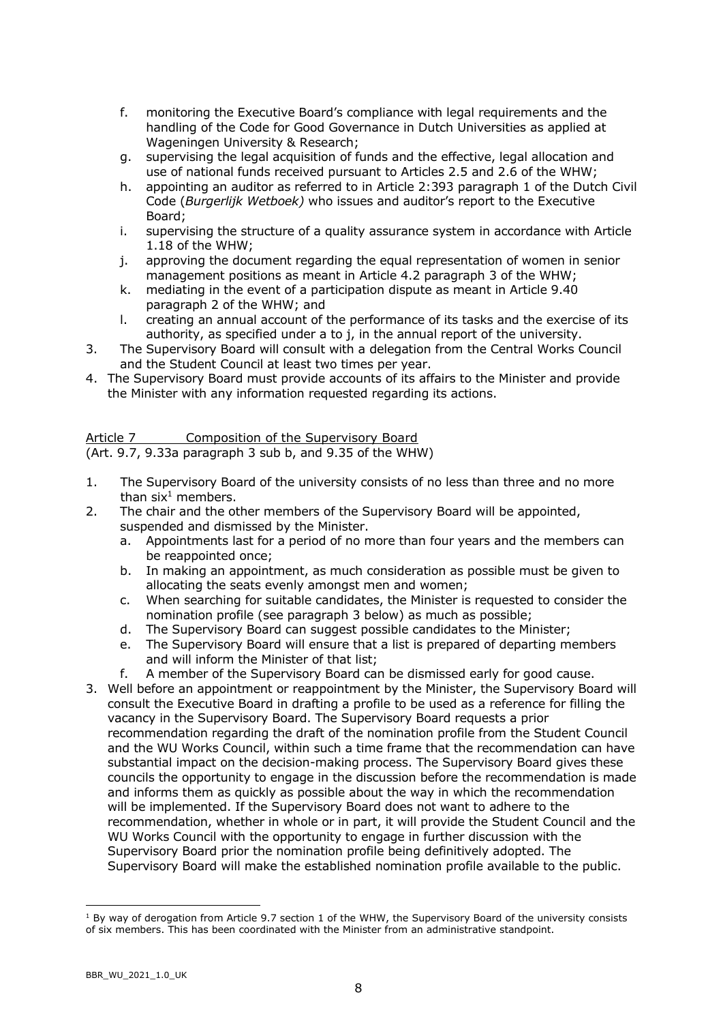- f. monitoring the Executive Board's compliance with legal requirements and the handling of the Code for Good Governance in Dutch Universities as applied at Wageningen University & Research;
- g. supervising the legal acquisition of funds and the effective, legal allocation and use of national funds received pursuant to Articles 2.5 and 2.6 of the WHW;
- h. appointing an auditor as referred to in Article 2:393 paragraph 1 of the Dutch Civil Code (*Burgerlijk Wetboek)* who issues and auditor's report to the Executive Board;
- i. supervising the structure of a quality assurance system in accordance with Article 1.18 of the WHW;
- j. approving the document regarding the equal representation of women in senior management positions as meant in Article 4.2 paragraph 3 of the WHW;
- k. mediating in the event of a participation dispute as meant in Article 9.40 paragraph 2 of the WHW; and
- l. creating an annual account of the performance of its tasks and the exercise of its authority, as specified under a to j, in the annual report of the university.
- 3. The Supervisory Board will consult with a delegation from the Central Works Council and the Student Council at least two times per year.
- 4. The Supervisory Board must provide accounts of its affairs to the Minister and provide the Minister with any information requested regarding its actions.

Article 7 Composition of the Supervisory Board (Art. 9.7, 9.33a paragraph 3 sub b, and 9.35 of the WHW)

- 1. The Supervisory Board of the university consists of no less than three and no more than  $\sin^1$  members.
- 2. The chair and the other members of the Supervisory Board will be appointed, suspended and dismissed by the Minister.
	- a. Appointments last for a period of no more than four years and the members can be reappointed once;
	- b. In making an appointment, as much consideration as possible must be given to allocating the seats evenly amongst men and women;
	- c. When searching for suitable candidates, the Minister is requested to consider the nomination profile (see paragraph 3 below) as much as possible;
	- d. The Supervisory Board can suggest possible candidates to the Minister;
	- e. The Supervisory Board will ensure that a list is prepared of departing members and will inform the Minister of that list;
	- f. A member of the Supervisory Board can be dismissed early for good cause.
- 3. Well before an appointment or reappointment by the Minister, the Supervisory Board will consult the Executive Board in drafting a profile to be used as a reference for filling the vacancy in the Supervisory Board. The Supervisory Board requests a prior recommendation regarding the draft of the nomination profile from the Student Council and the WU Works Council, within such a time frame that the recommendation can have substantial impact on the decision-making process. The Supervisory Board gives these councils the opportunity to engage in the discussion before the recommendation is made and informs them as quickly as possible about the way in which the recommendation will be implemented. If the Supervisory Board does not want to adhere to the recommendation, whether in whole or in part, it will provide the Student Council and the WU Works Council with the opportunity to engage in further discussion with the Supervisory Board prior the nomination profile being definitively adopted. The Supervisory Board will make the established nomination profile available to the public.

 $1$  By way of derogation from Article 9.7 section 1 of the WHW, the Supervisory Board of the university consists of six members. This has been coordinated with the Minister from an administrative standpoint.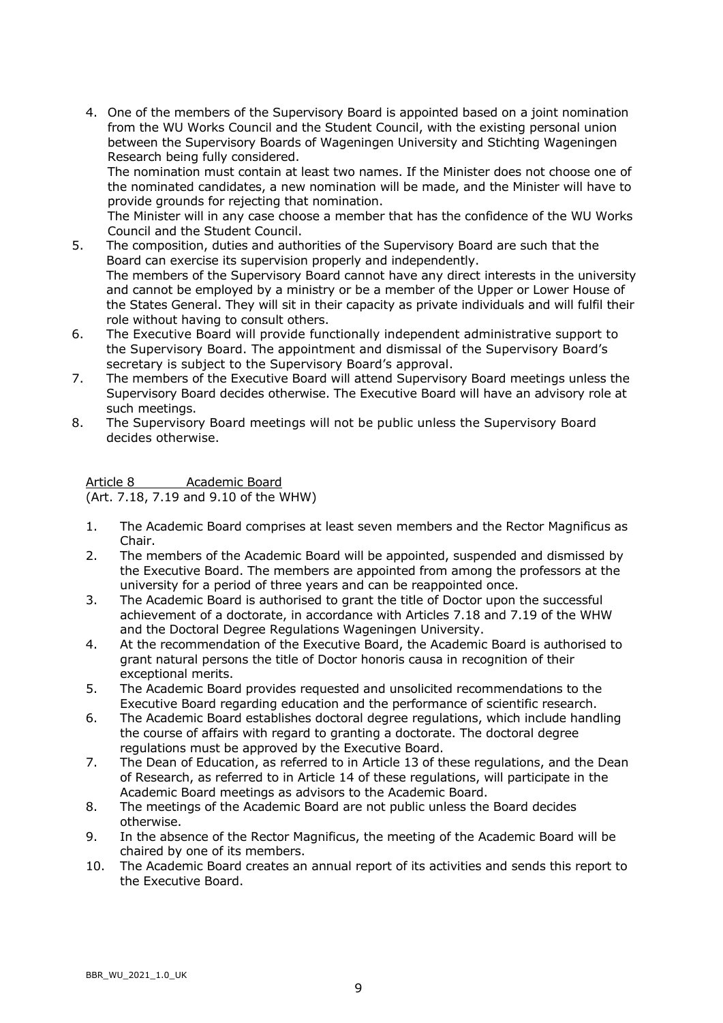4. One of the members of the Supervisory Board is appointed based on a joint nomination from the WU Works Council and the Student Council, with the existing personal union between the Supervisory Boards of Wageningen University and Stichting Wageningen Research being fully considered.

The nomination must contain at least two names. If the Minister does not choose one of the nominated candidates, a new nomination will be made, and the Minister will have to provide grounds for rejecting that nomination.

The Minister will in any case choose a member that has the confidence of the WU Works Council and the Student Council.

- 5. The composition, duties and authorities of the Supervisory Board are such that the Board can exercise its supervision properly and independently. The members of the Supervisory Board cannot have any direct interests in the university and cannot be employed by a ministry or be a member of the Upper or Lower House of the States General. They will sit in their capacity as private individuals and will fulfil their role without having to consult others.
- 6. The Executive Board will provide functionally independent administrative support to the Supervisory Board. The appointment and dismissal of the Supervisory Board's secretary is subject to the Supervisory Board's approval.
- 7. The members of the Executive Board will attend Supervisory Board meetings unless the Supervisory Board decides otherwise. The Executive Board will have an advisory role at such meetings.
- 8. The Supervisory Board meetings will not be public unless the Supervisory Board decides otherwise.

Article 8 Academic Board (Art. 7.18, 7.19 and 9.10 of the WHW)

- 1. The Academic Board comprises at least seven members and the Rector Magnificus as Chair.
- 2. The members of the Academic Board will be appointed, suspended and dismissed by the Executive Board. The members are appointed from among the professors at the university for a period of three years and can be reappointed once.
- 3. The Academic Board is authorised to grant the title of Doctor upon the successful achievement of a doctorate, in accordance with Articles 7.18 and 7.19 of the WHW and the Doctoral Degree Regulations Wageningen University.
- 4. At the recommendation of the Executive Board, the Academic Board is authorised to grant natural persons the title of Doctor honoris causa in recognition of their exceptional merits.
- 5. The Academic Board provides requested and unsolicited recommendations to the Executive Board regarding education and the performance of scientific research.
- 6. The Academic Board establishes doctoral degree regulations, which include handling the course of affairs with regard to granting a doctorate. The doctoral degree regulations must be approved by the Executive Board.
- 7. The Dean of Education, as referred to in Article 13 of these regulations, and the Dean of Research, as referred to in Article 14 of these regulations, will participate in the Academic Board meetings as advisors to the Academic Board.
- 8. The meetings of the Academic Board are not public unless the Board decides otherwise.
- 9. In the absence of the Rector Magnificus, the meeting of the Academic Board will be chaired by one of its members.
- 10. The Academic Board creates an annual report of its activities and sends this report to the Executive Board.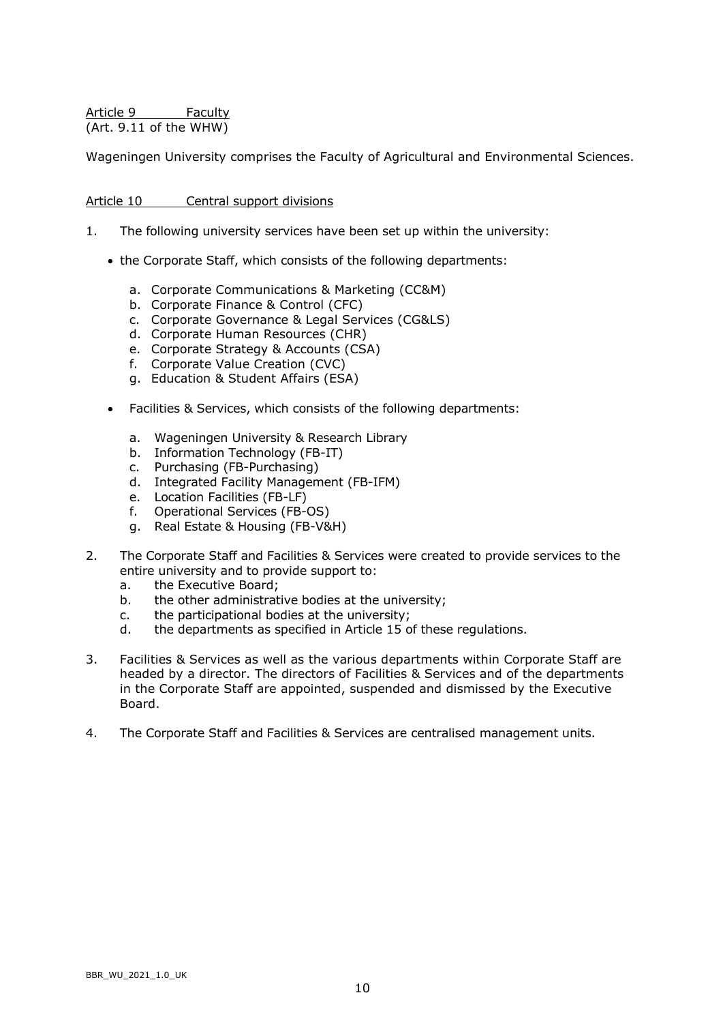Article 9 Faculty (Art. 9.11 of the WHW)

Wageningen University comprises the Faculty of Agricultural and Environmental Sciences.

### Article 10 Central support divisions

- 1. The following university services have been set up within the university:
	- the Corporate Staff, which consists of the following departments:
		- a. Corporate Communications & Marketing (CC&M)
		- b. Corporate Finance & Control (CFC)
		- c. Corporate Governance & Legal Services (CG&LS)
		- d. Corporate Human Resources (CHR)
		- e. Corporate Strategy & Accounts (CSA)
		- f. Corporate Value Creation (CVC)
		- g. Education & Student Affairs (ESA)
	- Facilities & Services, which consists of the following departments:
		- a. Wageningen University & Research Library
		- b. Information Technology (FB-IT)
		- c. Purchasing (FB-Purchasing)
		- d. Integrated Facility Management (FB-IFM)
		- e. Location Facilities (FB-LF)
		- f. Operational Services (FB-OS)
		- g. Real Estate & Housing (FB-V&H)
- 2. The Corporate Staff and Facilities & Services were created to provide services to the entire university and to provide support to:
	- a. the Executive Board;
	- b. the other administrative bodies at the university;
	- c. the participational bodies at the university;
	- d. the departments as specified in Article 15 of these regulations.
- 3. Facilities & Services as well as the various departments within Corporate Staff are headed by a director. The directors of Facilities & Services and of the departments in the Corporate Staff are appointed, suspended and dismissed by the Executive Board.
- 4. The Corporate Staff and Facilities & Services are centralised management units.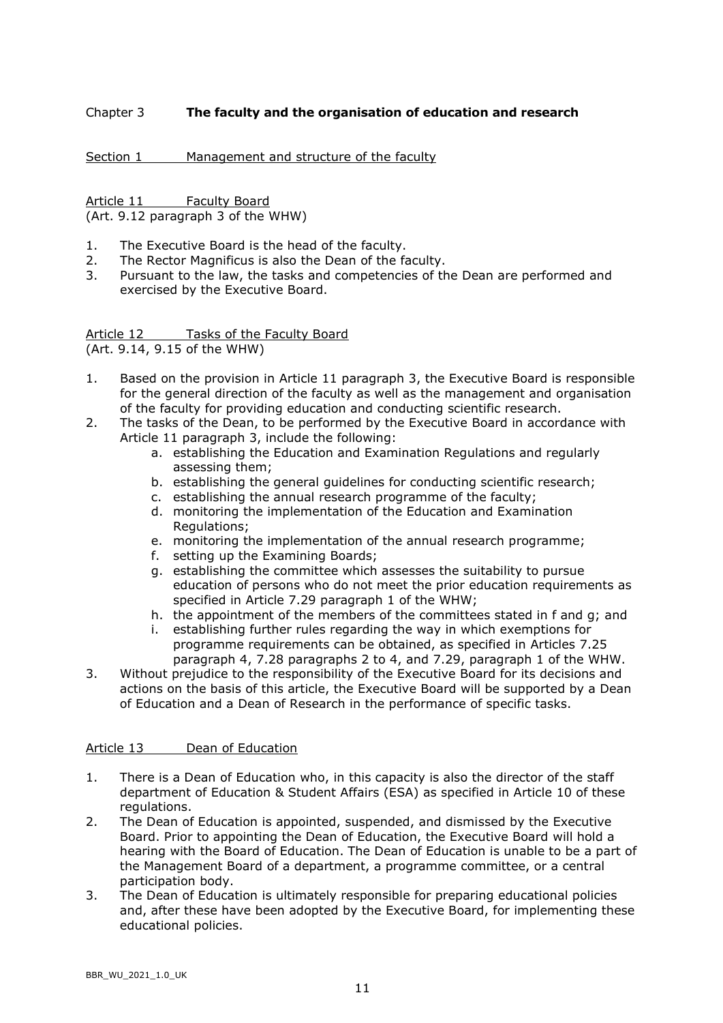# Chapter 3 **The faculty and the organisation of education and research**

Section 1 Management and structure of the faculty

Article 11 Faculty Board (Art. 9.12 paragraph 3 of the WHW)

- 1. The Executive Board is the head of the faculty.
- 2. The Rector Magnificus is also the Dean of the faculty.
- 3. Pursuant to the law, the tasks and competencies of the Dean are performed and exercised by the Executive Board.

Article 12 Tasks of the Faculty Board (Art. 9.14, 9.15 of the WHW)

- 1. Based on the provision in Article 11 paragraph 3, the Executive Board is responsible for the general direction of the faculty as well as the management and organisation of the faculty for providing education and conducting scientific research.
- 2. The tasks of the Dean, to be performed by the Executive Board in accordance with Article 11 paragraph 3, include the following:
	- a. establishing the Education and Examination Regulations and regularly assessing them;
	- b. establishing the general guidelines for conducting scientific research;
	- c. establishing the annual research programme of the faculty;
	- d. monitoring the implementation of the Education and Examination Regulations;
	- e. monitoring the implementation of the annual research programme;
	- f. setting up the Examining Boards;
	- g. establishing the committee which assesses the suitability to pursue education of persons who do not meet the prior education requirements as specified in [Article 7.29 paragraph](http://wetten.overheid.nl/BWBR0005682/2017-09-01#Hoofdstuk7_Titeldeel2_Paragraaf1_Artikel7.29) 1 of the WHW;
	- h. the appointment of the members of the committees stated in f and g; and
	- i. establishing further rules regarding the way in which exemptions for programme requirements can be obtained, as specified in [Articles 7.25](http://wetten.overheid.nl/BWBR0005682/2017-09-01#Hoofdstuk7_Titeldeel2_Paragraaf1_Artikel7.25)  [paragraph 4,](http://wetten.overheid.nl/BWBR0005682/2017-09-01#Hoofdstuk7_Titeldeel2_Paragraaf1_Artikel7.25) [7.28 paragraphs 2 to 4,](http://wetten.overheid.nl/BWBR0005682/2017-09-01#Hoofdstuk7_Titeldeel2_Paragraaf1_Artikel7.28) and [7.29, paragraph](http://wetten.overheid.nl/BWBR0005682/2017-09-01) 1 of the WHW.
- 3. Without prejudice to the responsibility of the Executive Board for its decisions and actions on the basis of this article, the Executive Board will be supported by a Dean of Education and a Dean of Research in the performance of specific tasks.

### Article 13 Dean of Education

- 1. There is a Dean of Education who, in this capacity is also the director of the staff department of Education & Student Affairs (ESA) as specified in Article 10 of these regulations.
- 2. The Dean of Education is appointed, suspended, and dismissed by the Executive Board. Prior to appointing the Dean of Education, the Executive Board will hold a hearing with the Board of Education. The Dean of Education is unable to be a part of the Management Board of a department, a programme committee, or a central participation body.
- 3. The Dean of Education is ultimately responsible for preparing educational policies and, after these have been adopted by the Executive Board, for implementing these educational policies.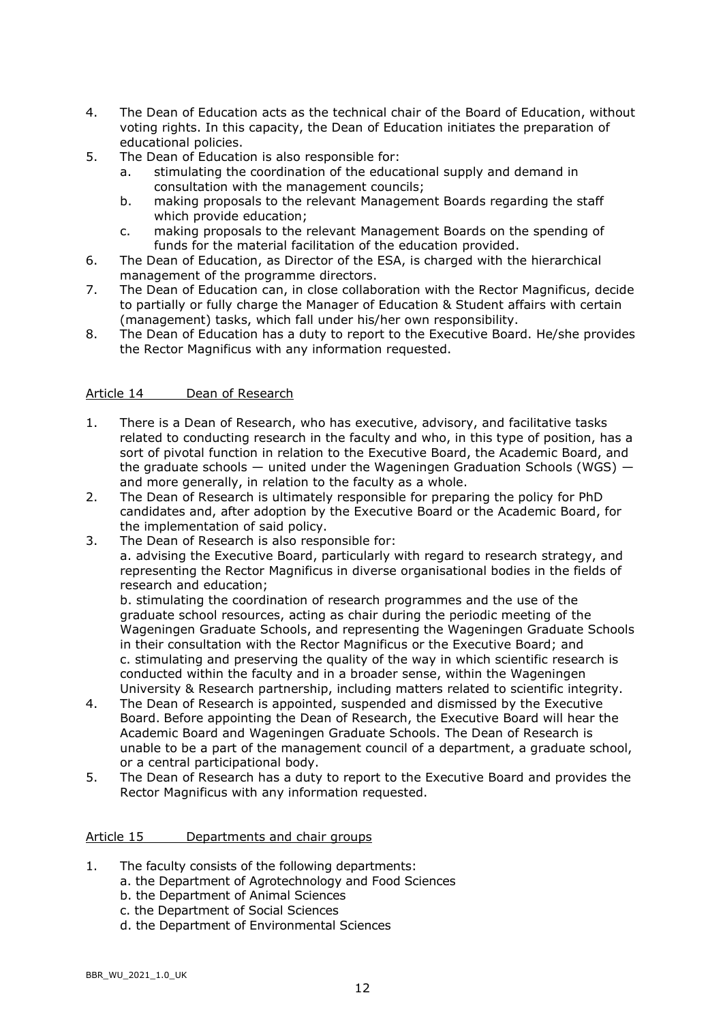- 4. The Dean of Education acts as the technical chair of the Board of Education, without voting rights. In this capacity, the Dean of Education initiates the preparation of educational policies.
- 5. The Dean of Education is also responsible for:
	- a. stimulating the coordination of the educational supply and demand in consultation with the management councils;
	- b. making proposals to the relevant Management Boards regarding the staff which provide education;
	- c. making proposals to the relevant Management Boards on the spending of funds for the material facilitation of the education provided.
- 6. The Dean of Education, as Director of the ESA, is charged with the hierarchical management of the programme directors.
- 7. The Dean of Education can, in close collaboration with the Rector Magnificus, decide to partially or fully charge the Manager of Education & Student affairs with certain (management) tasks, which fall under his/her own responsibility.
- 8. The Dean of Education has a duty to report to the Executive Board. He/she provides the Rector Magnificus with any information requested.

## Article 14 Dean of Research

- 1. There is a Dean of Research, who has executive, advisory, and facilitative tasks related to conducting research in the faculty and who, in this type of position, has a sort of pivotal function in relation to the Executive Board, the Academic Board, and the graduate schools  $-$  united under the Wageningen Graduation Schools (WGS)  $$ and more generally, in relation to the faculty as a whole.
- 2. The Dean of Research is ultimately responsible for preparing the policy for PhD candidates and, after adoption by the Executive Board or the Academic Board, for the implementation of said policy.
- 3. The Dean of Research is also responsible for: a. advising the Executive Board, particularly with regard to research strategy, and representing the Rector Magnificus in diverse organisational bodies in the fields of research and education;

b. stimulating the coordination of research programmes and the use of the graduate school resources, acting as chair during the periodic meeting of the Wageningen Graduate Schools, and representing the Wageningen Graduate Schools in their consultation with the Rector Magnificus or the Executive Board; and c. stimulating and preserving the quality of the way in which scientific research is conducted within the faculty and in a broader sense, within the Wageningen University & Research partnership, including matters related to scientific integrity.

- 4. The Dean of Research is appointed, suspended and dismissed by the Executive Board. Before appointing the Dean of Research, the Executive Board will hear the Academic Board and Wageningen Graduate Schools. The Dean of Research is unable to be a part of the management council of a department, a graduate school, or a central participational body.
- 5. The Dean of Research has a duty to report to the Executive Board and provides the Rector Magnificus with any information requested.

### Article 15 Departments and chair groups

- 1. The faculty consists of the following departments:
	- a. the Department of Agrotechnology and Food Sciences
	- b. the Department of Animal Sciences
	- c. the Department of Social Sciences
	- d. the Department of Environmental Sciences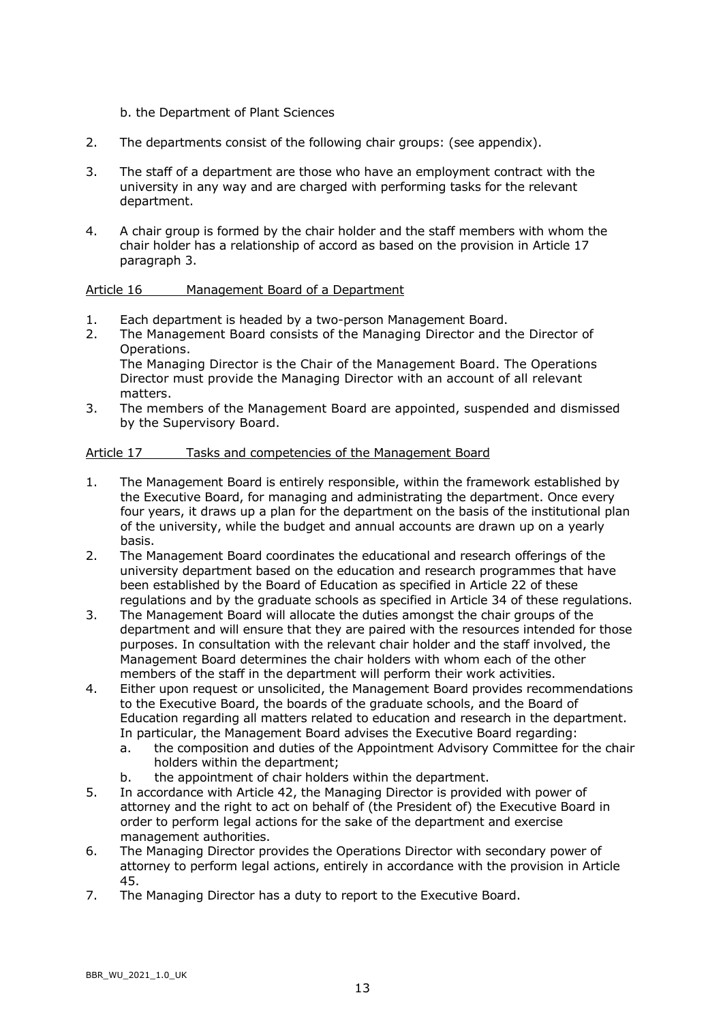- b. the Department of Plant Sciences
- 2. The departments consist of the following chair groups: (see appendix).
- 3. The staff of a department are those who have an employment contract with the university in any way and are charged with performing tasks for the relevant department.
- 4. A chair group is formed by the chair holder and the staff members with whom the chair holder has a relationship of accord as based on the provision in Article 17 paragraph 3.

### Article 16 Management Board of a Department

- 1. Each department is headed by a two-person Management Board.
- 2. The Management Board consists of the Managing Director and the Director of Operations. The Managing Director is the Chair of the Management Board. The Operations Director must provide the Managing Director with an account of all relevant matters.
- 3. The members of the Management Board are appointed, suspended and dismissed by the Supervisory Board.

## Article 17 Tasks and competencies of the Management Board

- 1. The Management Board is entirely responsible, within the framework established by the Executive Board, for managing and administrating the department. Once every four years, it draws up a plan for the department on the basis of the institutional plan of the university, while the budget and annual accounts are drawn up on a yearly basis.
- 2. The Management Board coordinates the educational and research offerings of the university department based on the education and research programmes that have been established by the Board of Education as specified in Article 22 of these regulations and by the graduate schools as specified in Article 34 of these regulations.
- 3. The Management Board will allocate the duties amongst the chair groups of the department and will ensure that they are paired with the resources intended for those purposes. In consultation with the relevant chair holder and the staff involved, the Management Board determines the chair holders with whom each of the other members of the staff in the department will perform their work activities.
- 4. Either upon request or unsolicited, the Management Board provides recommendations to the Executive Board, the boards of the graduate schools, and the Board of Education regarding all matters related to education and research in the department. In particular, the Management Board advises the Executive Board regarding:
	- a. the composition and duties of the Appointment Advisory Committee for the chair holders within the department;
	- b. the appointment of chair holders within the department.
- 5. In accordance with Article 42, the Managing Director is provided with power of attorney and the right to act on behalf of (the President of) the Executive Board in order to perform legal actions for the sake of the department and exercise management authorities.
- 6. The Managing Director provides the Operations Director with secondary power of attorney to perform legal actions, entirely in accordance with the provision in Article 45.
- 7. The Managing Director has a duty to report to the Executive Board.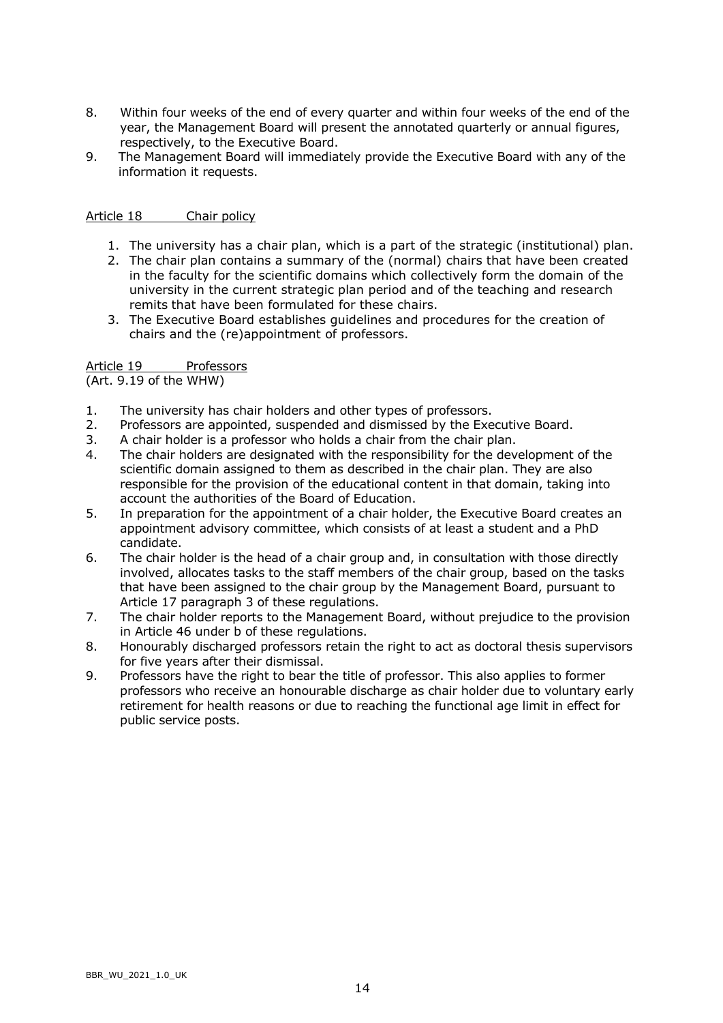- 8. Within four weeks of the end of every quarter and within four weeks of the end of the year, the Management Board will present the annotated quarterly or annual figures, respectively, to the Executive Board.
- 9. The Management Board will immediately provide the Executive Board with any of the information it requests.

### Article 18 Chair policy

- 1. The university has a chair plan, which is a part of the strategic (institutional) plan.
- 2. The chair plan contains a summary of the (normal) chairs that have been created in the faculty for the scientific domains which collectively form the domain of the university in the current strategic plan period and of the teaching and research remits that have been formulated for these chairs.
- 3. The Executive Board establishes guidelines and procedures for the creation of chairs and the (re)appointment of professors.

### Article 19 Professors

(Art. 9.19 of the WHW)

- 1. The university has chair holders and other types of professors.
- 2. Professors are appointed, suspended and dismissed by the Executive Board.
- 3. A chair holder is a professor who holds a chair from the chair plan.
- 4. The chair holders are designated with the responsibility for the development of the scientific domain assigned to them as described in the chair plan. They are also responsible for the provision of the educational content in that domain, taking into account the authorities of the Board of Education.
- 5. In preparation for the appointment of a chair holder, the Executive Board creates an appointment advisory committee, which consists of at least a student and a PhD candidate.
- 6. The chair holder is the head of a chair group and, in consultation with those directly involved, allocates tasks to the staff members of the chair group, based on the tasks that have been assigned to the chair group by the Management Board, pursuant to Article 17 paragraph 3 of these regulations.
- 7. The chair holder reports to the Management Board, without prejudice to the provision in Article 46 under b of these regulations.
- 8. Honourably discharged professors retain the right to act as doctoral thesis supervisors for five years after their dismissal.
- 9. Professors have the right to bear the title of professor. This also applies to former professors who receive an honourable discharge as chair holder due to voluntary early retirement for health reasons or due to reaching the functional age limit in effect for public service posts.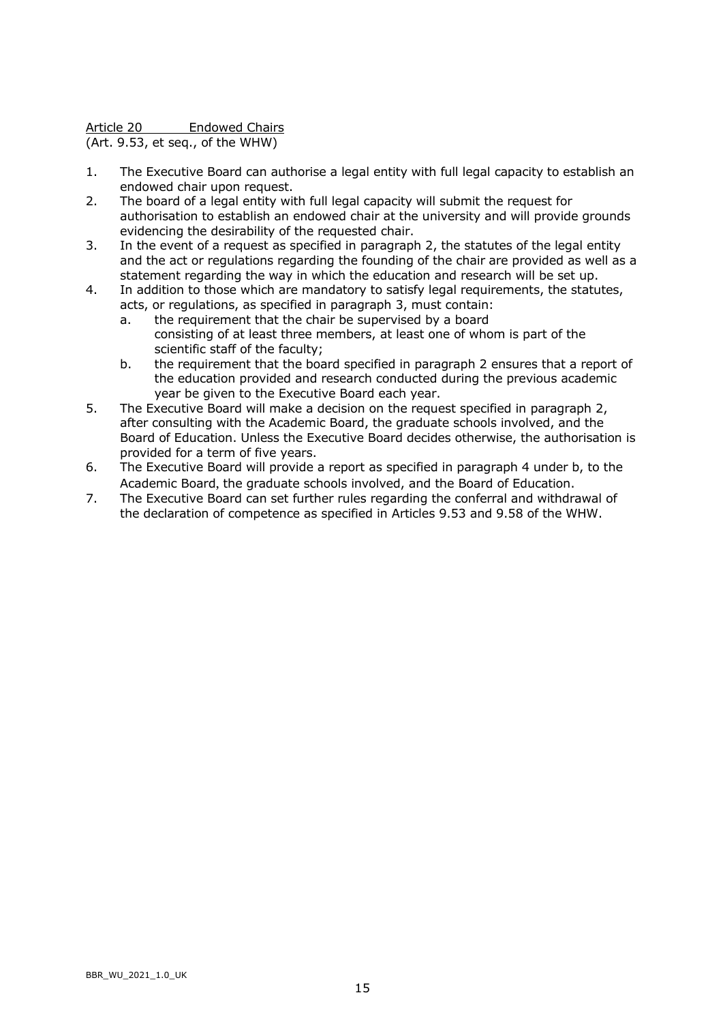Article 20 Endowed Chairs

(Art. 9.53, et seq., of the WHW)

- 1. The Executive Board can authorise a legal entity with full legal capacity to establish an endowed chair upon request.
- 2. The board of a legal entity with full legal capacity will submit the request for authorisation to establish an endowed chair at the university and will provide grounds evidencing the desirability of the requested chair.
- 3. In the event of a request as specified in paragraph 2, the statutes of the legal entity and the act or regulations regarding the founding of the chair are provided as well as a statement regarding the way in which the education and research will be set up.
- 4. In addition to those which are mandatory to satisfy legal requirements, the statutes, acts, or regulations, as specified in paragraph 3, must contain:
	- a. the requirement that the chair be supervised by a board consisting of at least three members, at least one of whom is part of the scientific staff of the faculty;
	- b. the requirement that the board specified in paragraph 2 ensures that a report of the education provided and research conducted during the previous academic year be given to the Executive Board each year.
- 5. The Executive Board will make a decision on the request specified in paragraph 2, after consulting with the Academic Board, the graduate schools involved, and the Board of Education. Unless the Executive Board decides otherwise, the authorisation is provided for a term of five years.
- 6. The Executive Board will provide a report as specified in paragraph 4 under b, to the Academic Board, the graduate schools involved, and the Board of Education.
- 7. The Executive Board can set further rules regarding the conferral and withdrawal of the declaration of competence as specified in Articles 9.53 and 9.58 of the WHW.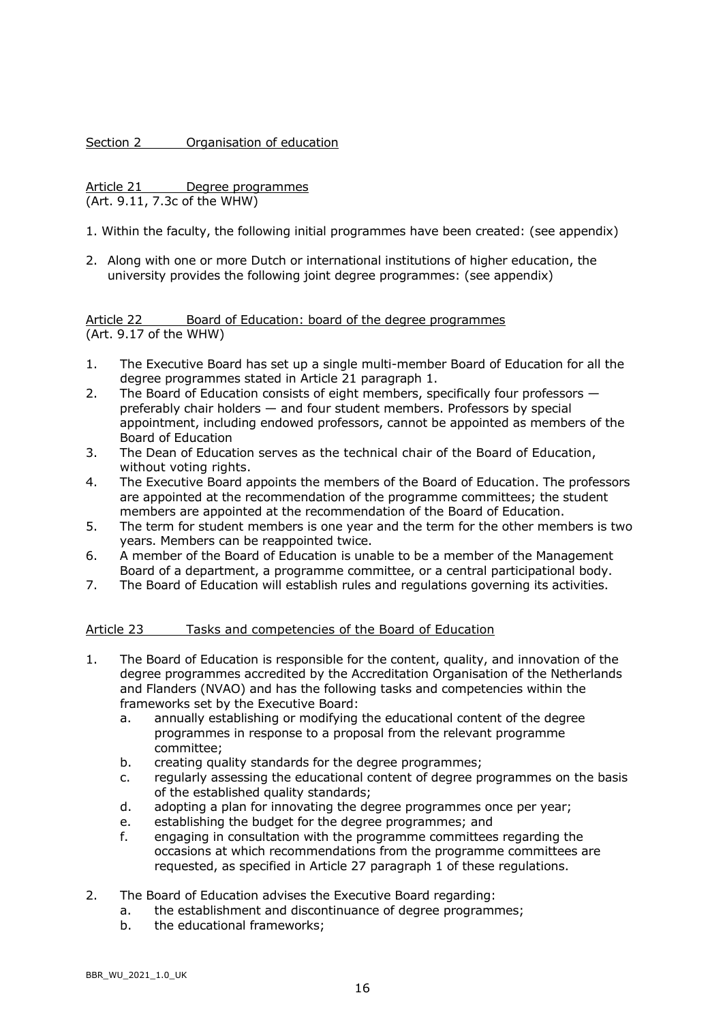Section 2 **Organisation of education** 

Article 21 Degree programmes (Art. 9.11, 7.3c of the WHW)

- 1. Within the faculty, the following initial programmes have been created: (see appendix)
- 2. Along with one or more Dutch or international institutions of higher education, the university provides the following joint degree programmes: (see appendix)

Article 22 Board of Education: board of the degree programmes (Art. 9.17 of the WHW)

- 1. The Executive Board has set up a single multi-member Board of Education for all the degree programmes stated in Article 21 paragraph 1.
- 2. The Board of Education consists of eight members, specifically four professors preferably chair holders — and four student members. Professors by special appointment, including endowed professors, cannot be appointed as members of the Board of Education
- 3. The Dean of Education serves as the technical chair of the Board of Education, without voting rights.
- 4. The Executive Board appoints the members of the Board of Education. The professors are appointed at the recommendation of the programme committees; the student members are appointed at the recommendation of the Board of Education.
- 5. The term for student members is one year and the term for the other members is two years. Members can be reappointed twice.
- 6. A member of the Board of Education is unable to be a member of the Management Board of a department, a programme committee, or a central participational body.
- 7. The Board of Education will establish rules and regulations governing its activities.

### Article 23 Tasks and competencies of the Board of Education

- 1. The Board of Education is responsible for the content, quality, and innovation of the degree programmes accredited by the Accreditation Organisation of the Netherlands and Flanders (NVAO) and has the following tasks and competencies within the frameworks set by the Executive Board:
	- a. annually establishing or modifying the educational content of the degree programmes in response to a proposal from the relevant programme committee;
	- b. creating quality standards for the degree programmes;
	- c. regularly assessing the educational content of degree programmes on the basis of the established quality standards;
	- d. adopting a plan for innovating the degree programmes once per year;
	- e. establishing the budget for the degree programmes; and
	- f. engaging in consultation with the programme committees regarding the occasions at which recommendations from the programme committees are requested, as specified in Article 27 paragraph 1 of these regulations.
- 2. The Board of Education advises the Executive Board regarding:
	- a. the establishment and discontinuance of degree programmes;
	- b. the educational frameworks;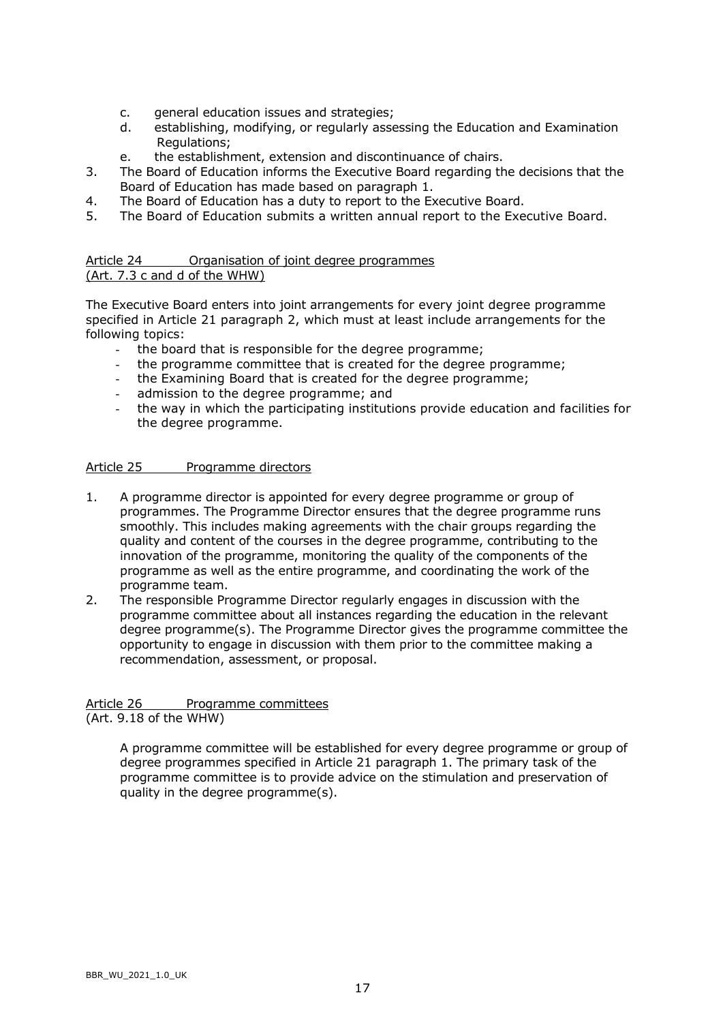- c. general education issues and strategies;
- d. establishing, modifying, or regularly assessing the Education and Examination Regulations;
- e. the establishment, extension and discontinuance of chairs.
- 3. The Board of Education informs the Executive Board regarding the decisions that the Board of Education has made based on paragraph 1.
- 4. The Board of Education has a duty to report to the Executive Board.
- 5. The Board of Education submits a written annual report to the Executive Board.

### Article 24 Organisation of joint degree programmes (Art. 7.3 c and d of the WHW)

The Executive Board enters into joint arrangements for every joint degree programme specified in Article 21 paragraph 2, which must at least include arrangements for the following topics:

- the board that is responsible for the degree programme;
- the programme committee that is created for the degree programme;
- the Examining Board that is created for the degree programme;
- admission to the degree programme; and
- the way in which the participating institutions provide education and facilities for the degree programme.

## Article 25 Programme directors

- 1. A programme director is appointed for every degree programme or group of programmes. The Programme Director ensures that the degree programme runs smoothly. This includes making agreements with the chair groups regarding the quality and content of the courses in the degree programme, contributing to the innovation of the programme, monitoring the quality of the components of the programme as well as the entire programme, and coordinating the work of the programme team.
- 2. The responsible Programme Director regularly engages in discussion with the programme committee about all instances regarding the education in the relevant degree programme(s). The Programme Director gives the programme committee the opportunity to engage in discussion with them prior to the committee making a recommendation, assessment, or proposal.

# Article 26 Programme committees

(Art. 9.18 of the WHW)

A programme committee will be established for every degree programme or group of degree programmes specified in Article 21 paragraph 1. The primary task of the programme committee is to provide advice on the stimulation and preservation of quality in the degree programme(s).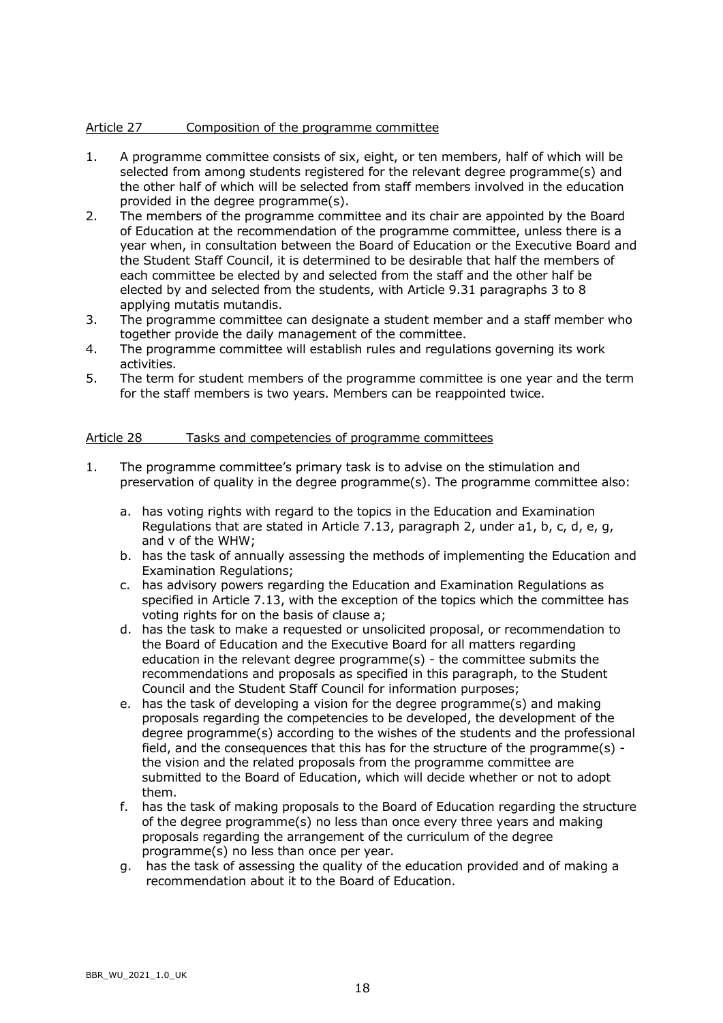### Article 27 Composition of the programme committee

- 1. A programme committee consists of six, eight, or ten members, half of which will be selected from among students registered for the relevant degree programme(s) and the other half of which will be selected from staff members involved in the education provided in the degree programme(s).
- 2. The members of the programme committee and its chair are appointed by the Board of Education at the recommendation of the programme committee, unless there is a year when, in consultation between the Board of Education or the Executive Board and the Student Staff Council, it is determined to be desirable that half the members of each committee be elected by and selected from the staff and the other half be elected by and selected from the students, with Article 9.31 paragraphs 3 to 8 applying mutatis mutandis.
- 3. The programme committee can designate a student member and a staff member who together provide the daily management of the committee.
- 4. The programme committee will establish rules and regulations governing its work activities.
- 5. The term for student members of the programme committee is one year and the term for the staff members is two years. Members can be reappointed twice.

### Article 28 Tasks and competencies of programme committees

- 1. The programme committee's primary task is to advise on the stimulation and preservation of quality in the degree programme(s). The programme committee also:
	- a. has voting rights with regard to the topics in the Education and Examination Regulations that are stated in Article 7.13, paragraph 2, under a1, b, c, d, e, g, and v of the WHW;
	- b. has the task of annually assessing the methods of implementing the Education and Examination Regulations;
	- c. has advisory powers regarding the Education and Examination Regulations as specified in Article 7.13, with the exception of the topics which the committee has voting rights for on the basis of clause a;
	- d. has the task to make a requested or unsolicited proposal, or recommendation to the Board of Education and the Executive Board for all matters regarding education in the relevant degree programme(s) - the committee submits the recommendations and proposals as specified in this paragraph, to the Student Council and the Student Staff Council for information purposes;
	- e. has the task of developing a vision for the degree programme(s) and making proposals regarding the competencies to be developed, the development of the degree programme(s) according to the wishes of the students and the professional field, and the consequences that this has for the structure of the programme(s) the vision and the related proposals from the programme committee are submitted to the Board of Education, which will decide whether or not to adopt them.
	- f. has the task of making proposals to the Board of Education regarding the structure of the degree programme(s) no less than once every three years and making proposals regarding the arrangement of the curriculum of the degree programme(s) no less than once per year.
	- g. has the task of assessing the quality of the education provided and of making a recommendation about it to the Board of Education.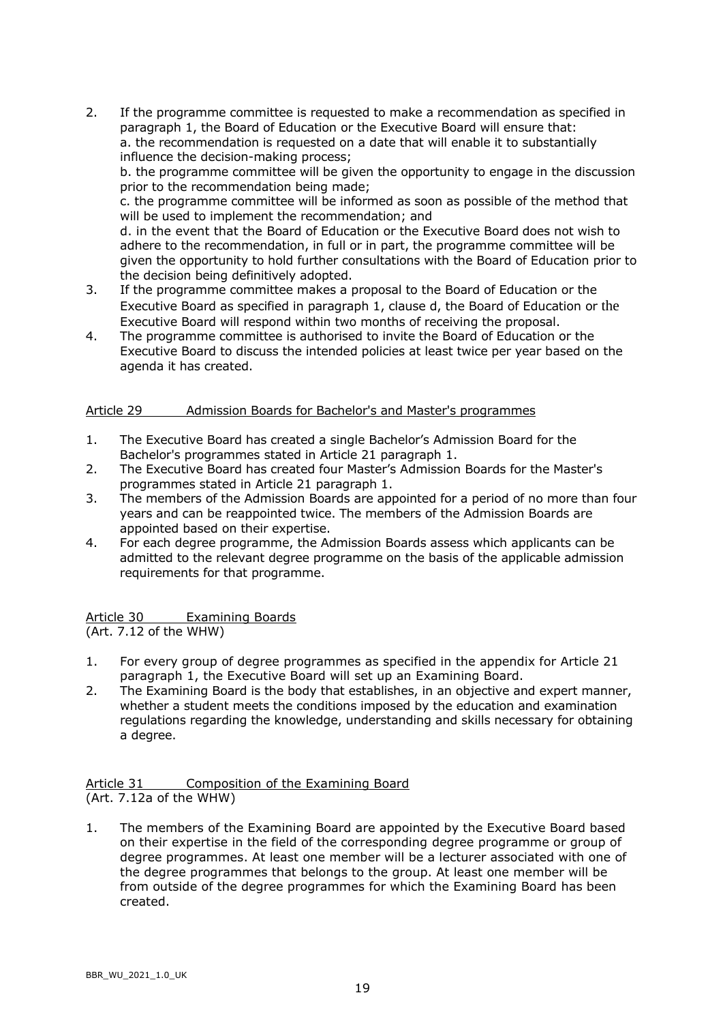- 2. If the programme committee is requested to make a recommendation as specified in paragraph 1, the Board of Education or the Executive Board will ensure that: a. the recommendation is requested on a date that will enable it to substantially influence the decision-making process; b. the programme committee will be given the opportunity to engage in the discussion prior to the recommendation being made; c. the programme committee will be informed as soon as possible of the method that will be used to implement the recommendation; and d. in the event that the Board of Education or the Executive Board does not wish to adhere to the recommendation, in full or in part, the programme committee will be given the opportunity to hold further consultations with the Board of Education prior to
- the decision being definitively adopted. 3. If the programme committee makes a proposal to the Board of Education or the Executive Board as specified in paragraph 1, clause d, the Board of Education or the Executive Board will respond within two months of receiving the proposal.
- 4. The programme committee is authorised to invite the Board of Education or the Executive Board to discuss the intended policies at least twice per year based on the agenda it has created.

### Article 29 Admission Boards for Bachelor's and Master's programmes

- 1. The Executive Board has created a single Bachelor's Admission Board for the Bachelor's programmes stated in Article 21 paragraph 1.
- 2. The Executive Board has created four Master's Admission Boards for the Master's programmes stated in Article 21 paragraph 1.
- 3. The members of the Admission Boards are appointed for a period of no more than four years and can be reappointed twice. The members of the Admission Boards are appointed based on their expertise.
- 4. For each degree programme, the Admission Boards assess which applicants can be admitted to the relevant degree programme on the basis of the applicable admission requirements for that programme.

Article 30 Examining Boards (Art. 7.12 of the WHW)

- 1. For every group of degree programmes as specified in the appendix for Article 21 paragraph 1, the Executive Board will set up an Examining Board.
- 2. The Examining Board is the body that establishes, in an objective and expert manner, whether a student meets the conditions imposed by the education and examination regulations regarding the knowledge, understanding and skills necessary for obtaining a degree.

Article 31 Composition of the Examining Board (Art. 7.12a of the WHW)

1. The members of the Examining Board are appointed by the Executive Board based on their expertise in the field of the corresponding degree programme or group of degree programmes. At least one member will be a lecturer associated with one of the degree programmes that belongs to the group. At least one member will be from outside of the degree programmes for which the Examining Board has been created.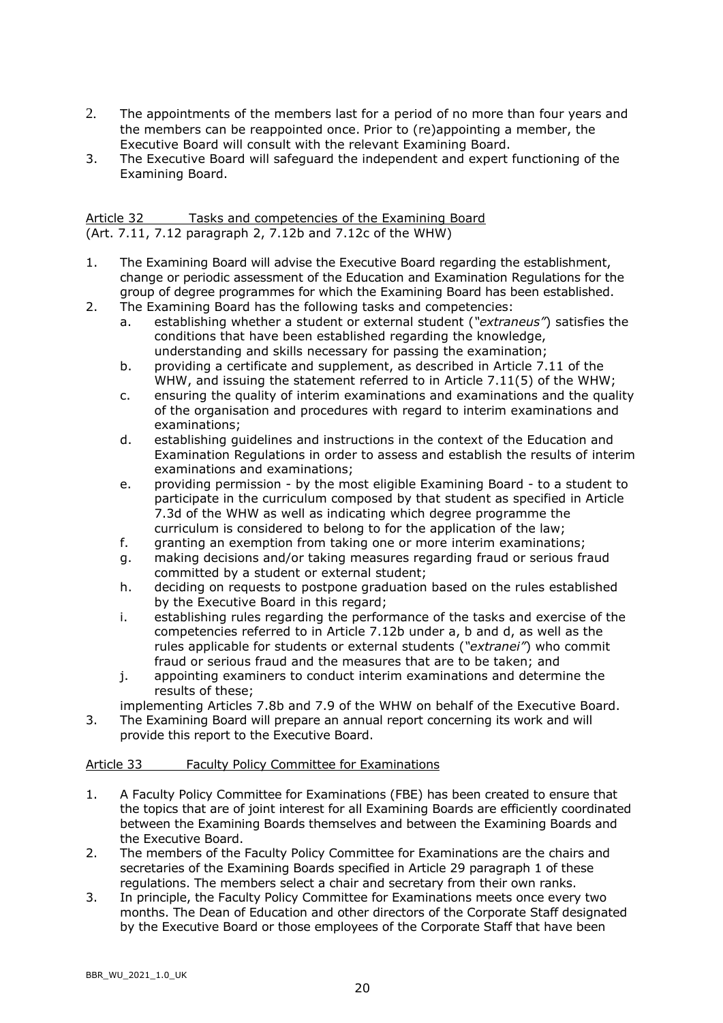- 2. The appointments of the members last for a period of no more than four years and the members can be reappointed once. Prior to (re)appointing a member, the Executive Board will consult with the relevant Examining Board.
- 3. The Executive Board will safeguard the independent and expert functioning of the Examining Board.

| Article 32 | Tasks and competencies of the Examining Board             |
|------------|-----------------------------------------------------------|
|            | (Art. 7.11, 7.12 paragraph 2, 7.12b and 7.12c of the WHW) |

- 1. The Examining Board will advise the Executive Board regarding the establishment, change or periodic assessment of the Education and Examination Regulations for the group of degree programmes for which the Examining Board has been established.
- 2. The Examining Board has the following tasks and competencies:
	- a. establishing whether a student or external student (*"extraneus"*) satisfies the conditions that have been established regarding the knowledge, understanding and skills necessary for passing the examination;
	- b. providing a certificate and supplement, as described in Article 7.11 of the WHW, and issuing the statement referred to in Article 7.11(5) of the WHW;
	- c. ensuring the quality of interim examinations and examinations and the quality of the organisation and procedures with regard to interim examinations and examinations;
	- d. establishing guidelines and instructions in the context of the Education and Examination Regulations in order to assess and establish the results of interim examinations and examinations;
	- e. providing permission by the most eligible Examining Board to a student to participate in the curriculum composed by that student as specified in Article 7.3d of the WHW as well as indicating which degree programme the curriculum is considered to belong to for the application of the law;
	- f. granting an exemption from taking one or more interim examinations;
	- g. making decisions and/or taking measures regarding fraud or serious fraud committed by a student or external student;
	- h. deciding on requests to postpone graduation based on the rules established by the Executive Board in this regard;
	- i. establishing rules regarding the performance of the tasks and exercise of the competencies referred to in Article 7.12b under a, b and d, as well as the rules applicable for students or external students (*"extranei"*) who commit fraud or serious fraud and the measures that are to be taken; and
	- j. appointing examiners to conduct interim examinations and determine the results of these;
	- implementing Articles 7.8b and 7.9 of the WHW on behalf of the Executive Board.
- 3. The Examining Board will prepare an annual report concerning its work and will provide this report to the Executive Board.

### Article 33 Faculty Policy Committee for Examinations

- 1. A Faculty Policy Committee for Examinations (FBE) has been created to ensure that the topics that are of joint interest for all Examining Boards are efficiently coordinated between the Examining Boards themselves and between the Examining Boards and the Executive Board.
- 2. The members of the Faculty Policy Committee for Examinations are the chairs and secretaries of the Examining Boards specified in Article 29 paragraph 1 of these regulations. The members select a chair and secretary from their own ranks.
- 3. In principle, the Faculty Policy Committee for Examinations meets once every two months. The Dean of Education and other directors of the Corporate Staff designated by the Executive Board or those employees of the Corporate Staff that have been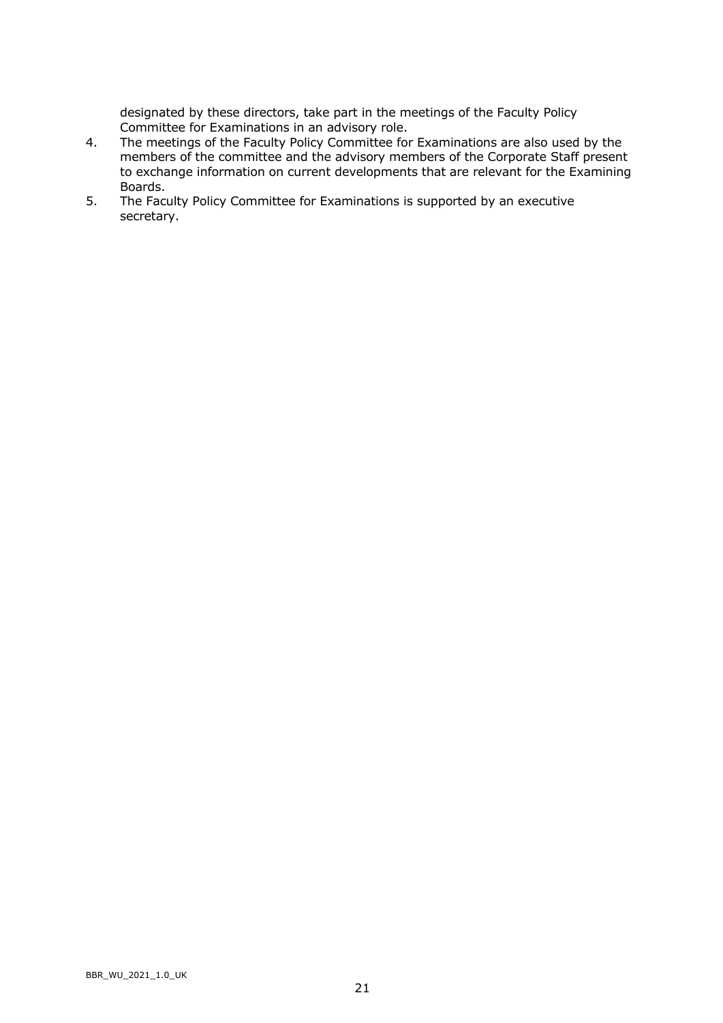designated by these directors, take part in the meetings of the Faculty Policy Committee for Examinations in an advisory role.

- 4. The meetings of the Faculty Policy Committee for Examinations are also used by the members of the committee and the advisory members of the Corporate Staff present to exchange information on current developments that are relevant for the Examining Boards.
- 5. The Faculty Policy Committee for Examinations is supported by an executive secretary.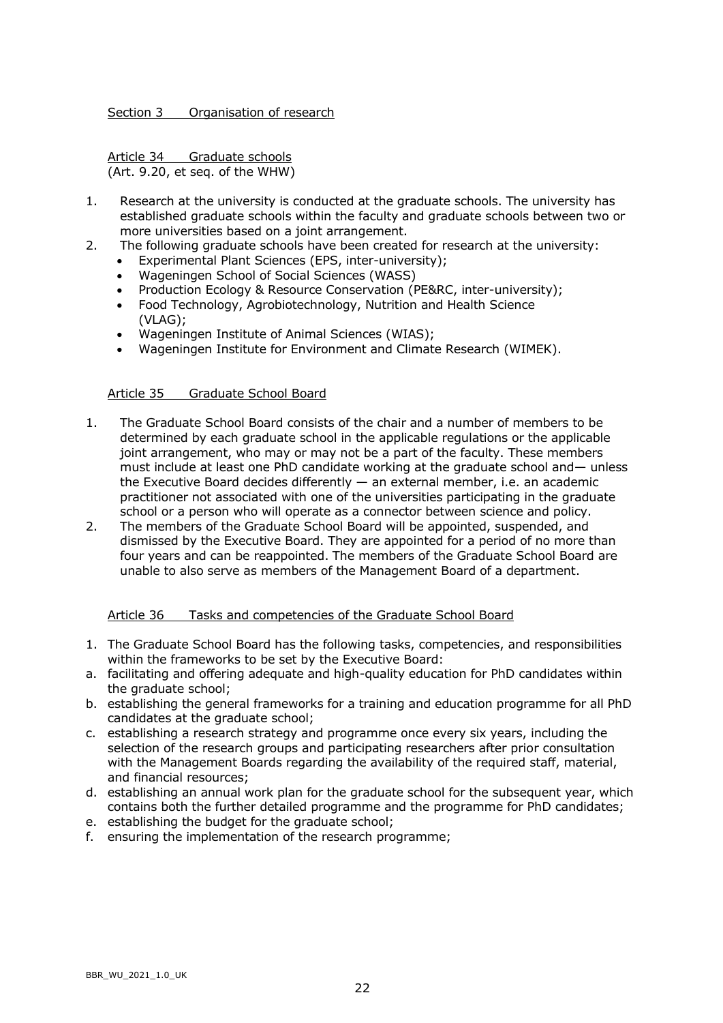### Section 3 Organisation of research

Article 34 Graduate schools (Art. 9.20, et seq. of the WHW)

- 1. Research at the university is conducted at the graduate schools. The university has established graduate schools within the faculty and graduate schools between two or more universities based on a joint arrangement.
- 2. The following graduate schools have been created for research at the university:
	- Experimental Plant Sciences (EPS, inter-university);
	- Wageningen School of Social Sciences (WASS)
	- Production Ecology & Resource Conservation (PE&RC, inter-university);
	- Food Technology, Agrobiotechnology, Nutrition and Health Science (VLAG);
	- Wageningen Institute of Animal Sciences (WIAS);
	- Wageningen Institute for Environment and Climate Research (WIMEK).

### Article 35 Graduate School Board

- 1. The Graduate School Board consists of the chair and a number of members to be determined by each graduate school in the applicable regulations or the applicable joint arrangement, who may or may not be a part of the faculty. These members must include at least one PhD candidate working at the graduate school and— unless the Executive Board decides differently — an external member, i.e. an academic practitioner not associated with one of the universities participating in the graduate school or a person who will operate as a connector between science and policy.
- 2. The members of the Graduate School Board will be appointed, suspended, and dismissed by the Executive Board. They are appointed for a period of no more than four years and can be reappointed. The members of the Graduate School Board are unable to also serve as members of the Management Board of a department.

### Article 36 Tasks and competencies of the Graduate School Board

- 1. The Graduate School Board has the following tasks, competencies, and responsibilities within the frameworks to be set by the Executive Board:
- a. facilitating and offering adequate and high-quality education for PhD candidates within the graduate school;
- b. establishing the general frameworks for a training and education programme for all PhD candidates at the graduate school;
- c. establishing a research strategy and programme once every six years, including the selection of the research groups and participating researchers after prior consultation with the Management Boards regarding the availability of the required staff, material, and financial resources;
- d. establishing an annual work plan for the graduate school for the subsequent year, which contains both the further detailed programme and the programme for PhD candidates;
- e. establishing the budget for the graduate school;
- f. ensuring the implementation of the research programme;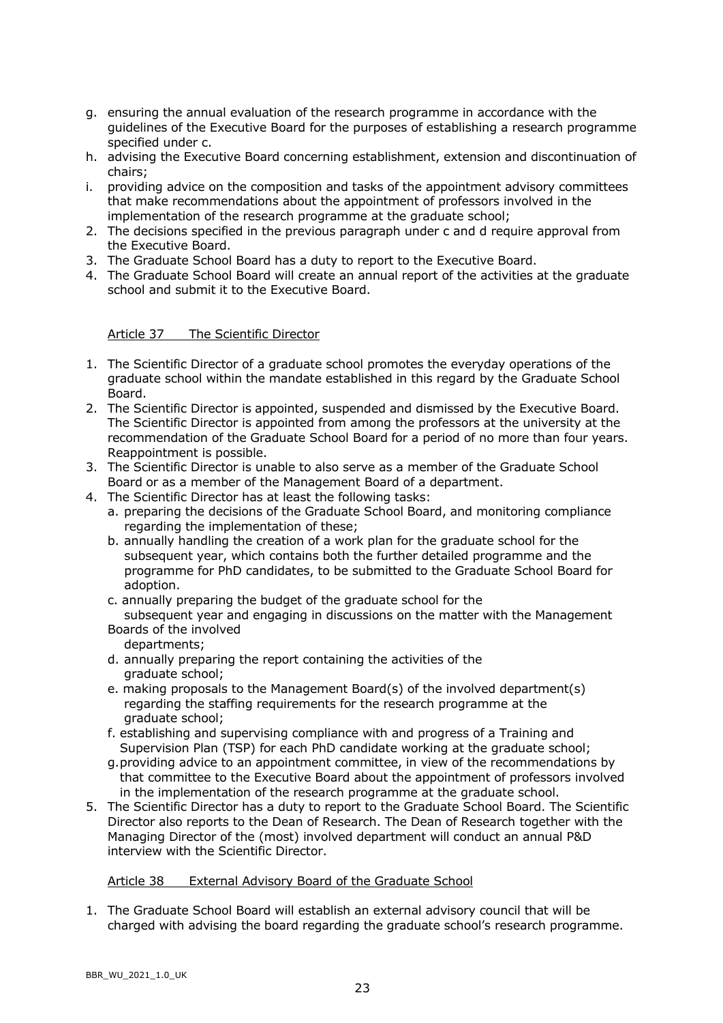- g. ensuring the annual evaluation of the research programme in accordance with the guidelines of the Executive Board for the purposes of establishing a research programme specified under c.
- h. advising the Executive Board concerning establishment, extension and discontinuation of chairs;
- i. providing advice on the composition and tasks of the appointment advisory committees that make recommendations about the appointment of professors involved in the implementation of the research programme at the graduate school;
- 2. The decisions specified in the previous paragraph under c and d require approval from the Executive Board.
- 3. The Graduate School Board has a duty to report to the Executive Board.
- 4. The Graduate School Board will create an annual report of the activities at the graduate school and submit it to the Executive Board.

Article 37 The Scientific Director

- 1. The Scientific Director of a graduate school promotes the everyday operations of the graduate school within the mandate established in this regard by the Graduate School Board.
- 2. The Scientific Director is appointed, suspended and dismissed by the Executive Board. The Scientific Director is appointed from among the professors at the university at the recommendation of the Graduate School Board for a period of no more than four years. Reappointment is possible.
- 3. The Scientific Director is unable to also serve as a member of the Graduate School Board or as a member of the Management Board of a department.
- 4. The Scientific Director has at least the following tasks:
	- a. preparing the decisions of the Graduate School Board, and monitoring compliance regarding the implementation of these;
	- b. annually handling the creation of a work plan for the graduate school for the subsequent year, which contains both the further detailed programme and the programme for PhD candidates, to be submitted to the Graduate School Board for adoption.
	- c. annually preparing the budget of the graduate school for the subsequent year and engaging in discussions on the matter with the Management
	- Boards of the involved departments;
	- d. annually preparing the report containing the activities of the graduate school;
	- e. making proposals to the Management Board(s) of the involved department(s) regarding the staffing requirements for the research programme at the graduate school;
	- f. establishing and supervising compliance with and progress of a Training and Supervision Plan (TSP) for each PhD candidate working at the graduate school;
	- g.providing advice to an appointment committee, in view of the recommendations by that committee to the Executive Board about the appointment of professors involved in the implementation of the research programme at the graduate school.
- 5. The Scientific Director has a duty to report to the Graduate School Board. The Scientific Director also reports to the Dean of Research. The Dean of Research together with the Managing Director of the (most) involved department will conduct an annual P&D interview with the Scientific Director.

### Article 38 External Advisory Board of the Graduate School

1. The Graduate School Board will establish an external advisory council that will be charged with advising the board regarding the graduate school's research programme.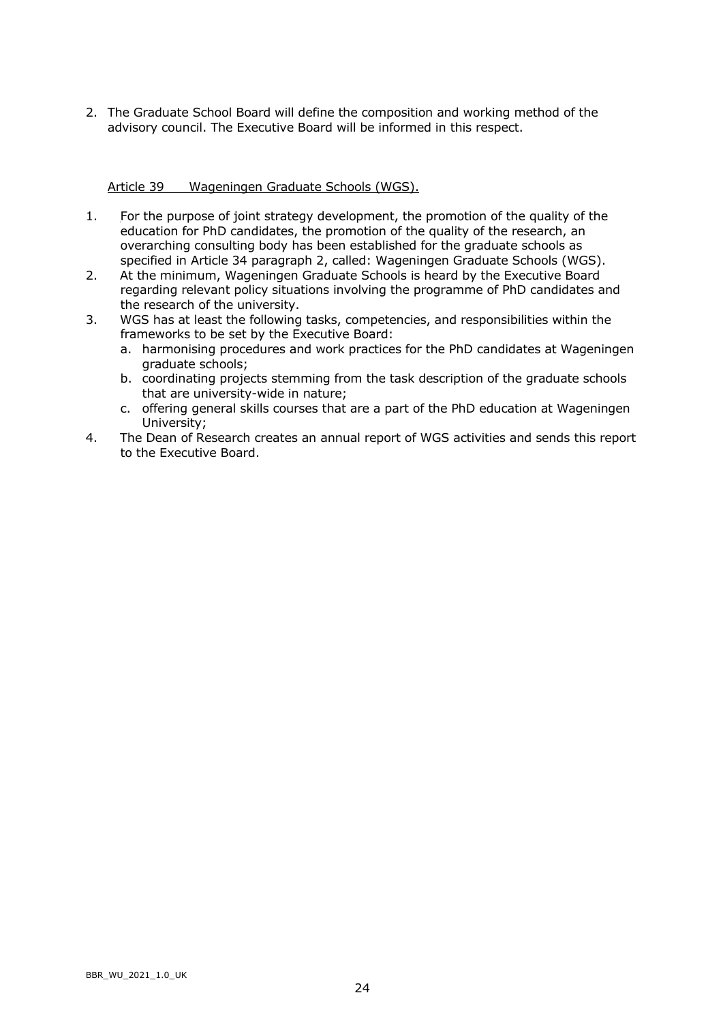2. The Graduate School Board will define the composition and working method of the advisory council. The Executive Board will be informed in this respect.

### Article 39 Wageningen Graduate Schools (WGS).

- 1. For the purpose of joint strategy development, the promotion of the quality of the education for PhD candidates, the promotion of the quality of the research, an overarching consulting body has been established for the graduate schools as specified in Article 34 paragraph 2, called: Wageningen Graduate Schools (WGS).
- 2. At the minimum, Wageningen Graduate Schools is heard by the Executive Board regarding relevant policy situations involving the programme of PhD candidates and the research of the university.
- 3. WGS has at least the following tasks, competencies, and responsibilities within the frameworks to be set by the Executive Board:
	- a. harmonising procedures and work practices for the PhD candidates at Wageningen graduate schools;
	- b. coordinating projects stemming from the task description of the graduate schools that are university-wide in nature;
	- c. offering general skills courses that are a part of the PhD education at Wageningen University;
- 4. The Dean of Research creates an annual report of WGS activities and sends this report to the Executive Board.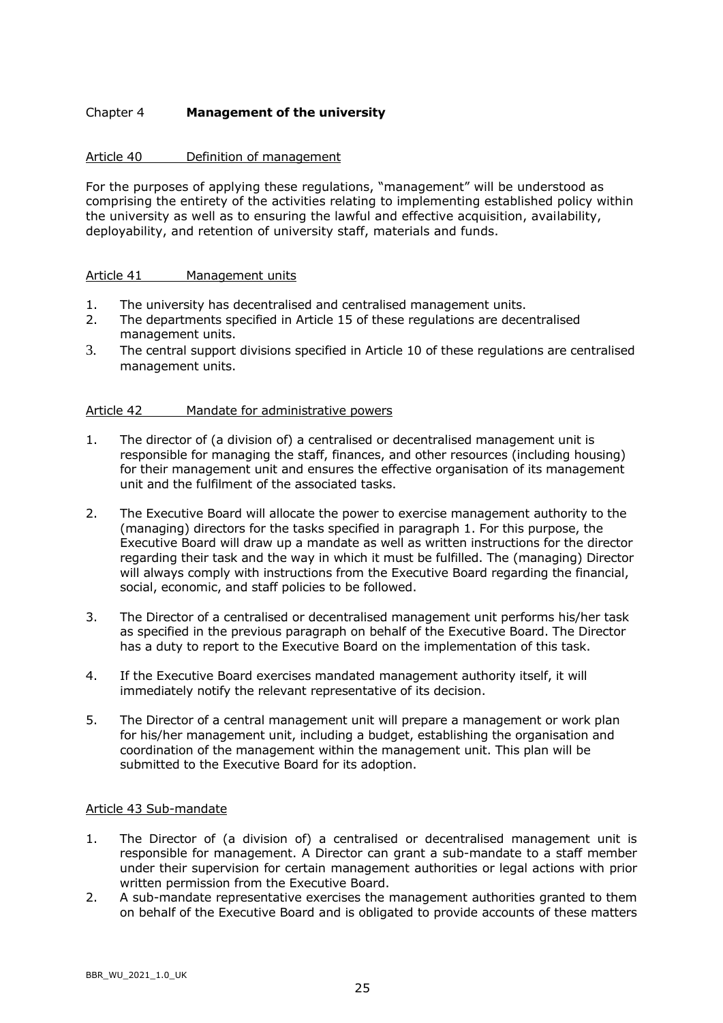## Chapter 4 **Management of the university**

### Article 40 Definition of management

For the purposes of applying these regulations, "management" will be understood as comprising the entirety of the activities relating to implementing established policy within the university as well as to ensuring the lawful and effective acquisition, availability, deployability, and retention of university staff, materials and funds.

### Article 41 Management units

- 1. The university has decentralised and centralised management units.
- 2. The departments specified in Article 15 of these regulations are decentralised management units.
- 3. The central support divisions specified in Article 10 of these regulations are centralised management units.

### Article 42 Mandate for administrative powers

- 1. The director of (a division of) a centralised or decentralised management unit is responsible for managing the staff, finances, and other resources (including housing) for their management unit and ensures the effective organisation of its management unit and the fulfilment of the associated tasks.
- 2. The Executive Board will allocate the power to exercise management authority to the (managing) directors for the tasks specified in paragraph 1. For this purpose, the Executive Board will draw up a mandate as well as written instructions for the director regarding their task and the way in which it must be fulfilled. The (managing) Director will always comply with instructions from the Executive Board regarding the financial, social, economic, and staff policies to be followed.
- 3. The Director of a centralised or decentralised management unit performs his/her task as specified in the previous paragraph on behalf of the Executive Board. The Director has a duty to report to the Executive Board on the implementation of this task.
- 4. If the Executive Board exercises mandated management authority itself, it will immediately notify the relevant representative of its decision.
- 5. The Director of a central management unit will prepare a management or work plan for his/her management unit, including a budget, establishing the organisation and coordination of the management within the management unit. This plan will be submitted to the Executive Board for its adoption.

### Article 43 Sub-mandate

- 1. The Director of (a division of) a centralised or decentralised management unit is responsible for management. A Director can grant a sub-mandate to a staff member under their supervision for certain management authorities or legal actions with prior written permission from the Executive Board.
- 2. A sub-mandate representative exercises the management authorities granted to them on behalf of the Executive Board and is obligated to provide accounts of these matters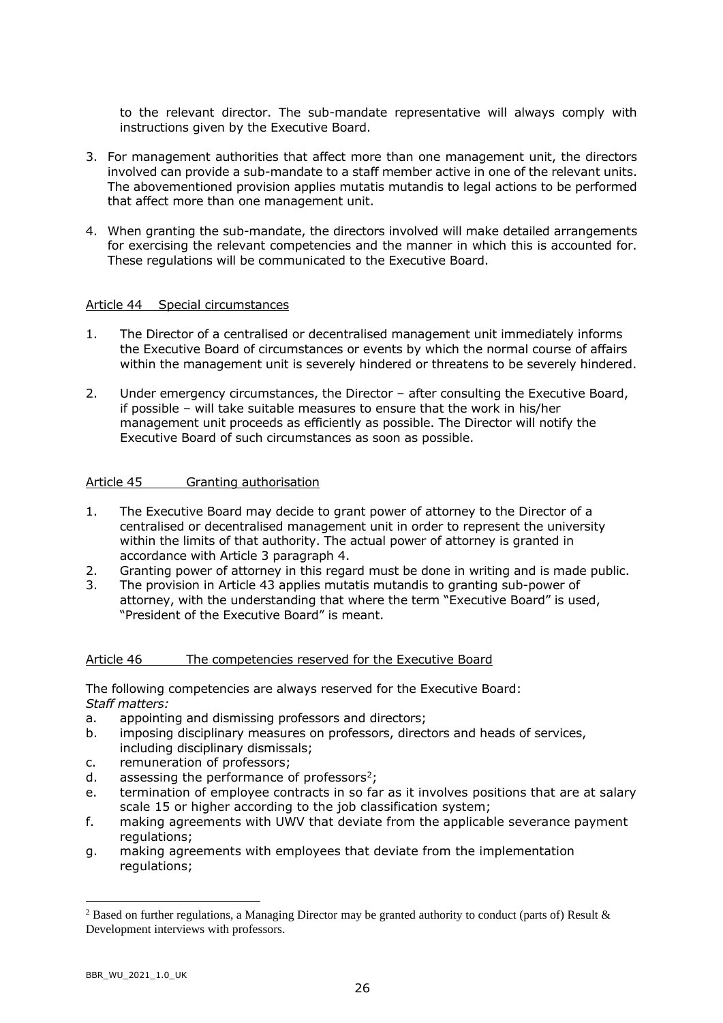to the relevant director. The sub-mandate representative will always comply with instructions given by the Executive Board.

- 3. For management authorities that affect more than one management unit, the directors involved can provide a sub-mandate to a staff member active in one of the relevant units. The abovementioned provision applies mutatis mutandis to legal actions to be performed that affect more than one management unit.
- 4. When granting the sub-mandate, the directors involved will make detailed arrangements for exercising the relevant competencies and the manner in which this is accounted for. These regulations will be communicated to the Executive Board.

### Article 44 Special circumstances

- 1. The Director of a centralised or decentralised management unit immediately informs the Executive Board of circumstances or events by which the normal course of affairs within the management unit is severely hindered or threatens to be severely hindered.
- 2. Under emergency circumstances, the Director after consulting the Executive Board, if possible – will take suitable measures to ensure that the work in his/her management unit proceeds as efficiently as possible. The Director will notify the Executive Board of such circumstances as soon as possible.

### Article 45 Granting authorisation

- 1. The Executive Board may decide to grant power of attorney to the Director of a centralised or decentralised management unit in order to represent the university within the limits of that authority. The actual power of attorney is granted in accordance with Article 3 paragraph 4.
- 2. Granting power of attorney in this regard must be done in writing and is made public.
- 3. The provision in Article 43 applies mutatis mutandis to granting sub-power of attorney, with the understanding that where the term "Executive Board" is used, "President of the Executive Board" is meant.

### Article 46 The competencies reserved for the Executive Board

The following competencies are always reserved for the Executive Board: *Staff matters:*

- a. appointing and dismissing professors and directors;
- b. imposing disciplinary measures on professors, directors and heads of services, including disciplinary dismissals;
- c. remuneration of professors;
- d. assessing the performance of professors<sup>2</sup>;
- e. termination of employee contracts in so far as it involves positions that are at salary scale 15 or higher according to the job classification system;
- f. making agreements with UWV that deviate from the applicable severance payment regulations;
- g. making agreements with employees that deviate from the implementation regulations;

<sup>&</sup>lt;sup>2</sup> Based on further regulations, a Managing Director may be granted authority to conduct (parts of) Result  $\&$ Development interviews with professors.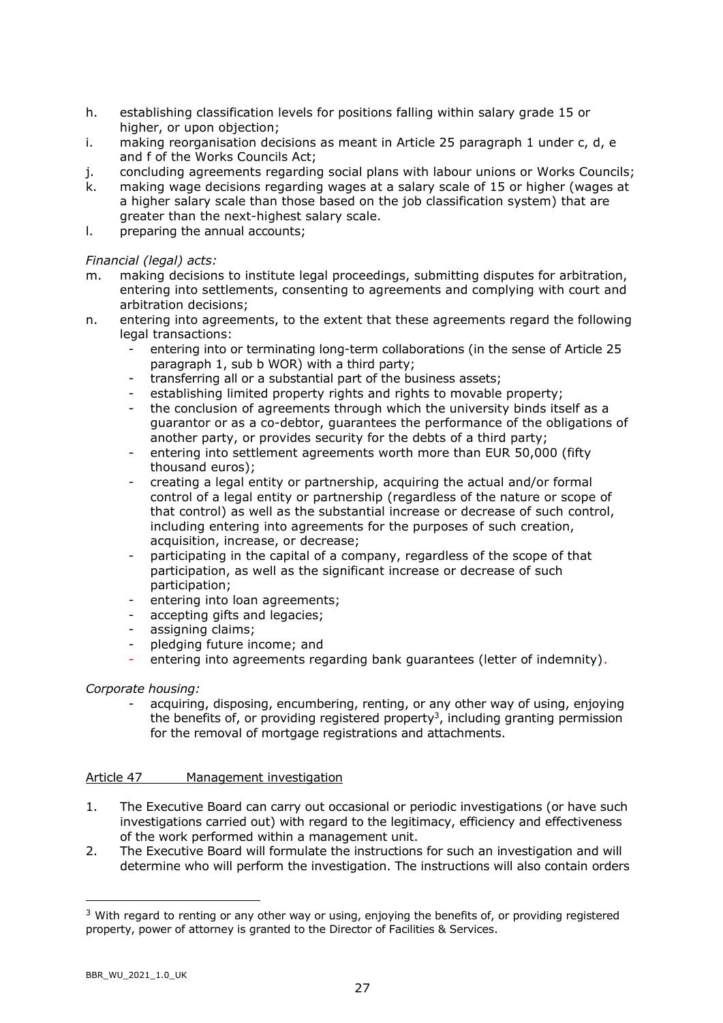- h. establishing classification levels for positions falling within salary grade 15 or higher, or upon objection;
- i. making reorganisation decisions as meant in Article 25 paragraph 1 under c, d, e and f of the Works Councils Act;
- j. concluding agreements regarding social plans with labour unions or Works Councils;
- k. making wage decisions regarding wages at a salary scale of 15 or higher (wages at a higher salary scale than those based on the job classification system) that are greater than the next-highest salary scale.
- l. preparing the annual accounts;

## *Financial (legal) acts:*

- m. making decisions to institute legal proceedings, submitting disputes for arbitration, entering into settlements, consenting to agreements and complying with court and arbitration decisions;
- n. entering into agreements, to the extent that these agreements regard the following legal transactions:
	- entering into or terminating long-term collaborations (in the sense of Article 25 paragraph 1, sub b WOR) with a third party;
	- transferring all or a substantial part of the business assets;
	- establishing limited property rights and rights to movable property;
	- the conclusion of agreements through which the university binds itself as a guarantor or as a co-debtor, guarantees the performance of the obligations of another party, or provides security for the debts of a third party;
	- entering into settlement agreements worth more than EUR 50,000 (fifty thousand euros);
	- creating a legal entity or partnership, acquiring the actual and/or formal control of a legal entity or partnership (regardless of the nature or scope of that control) as well as the substantial increase or decrease of such control, including entering into agreements for the purposes of such creation, acquisition, increase, or decrease;
	- participating in the capital of a company, regardless of the scope of that participation, as well as the significant increase or decrease of such participation;
	- entering into loan agreements;
	- accepting gifts and legacies;
	- assigning claims;
	- pledging future income; and
	- entering into agreements regarding bank guarantees (letter of indemnity).

# *Corporate housing:*

acquiring, disposing, encumbering, renting, or any other way of using, enjoying the benefits of, or providing registered property<sup>3</sup>, including granting permission for the removal of mortgage registrations and attachments.

### Article 47 Management investigation

- 1. The Executive Board can carry out occasional or periodic investigations (or have such investigations carried out) with regard to the legitimacy, efficiency and effectiveness of the work performed within a management unit.
- 2. The Executive Board will formulate the instructions for such an investigation and will determine who will perform the investigation. The instructions will also contain orders

 $3$  With regard to renting or any other way or using, enjoying the benefits of, or providing registered property, power of attorney is granted to the Director of Facilities & Services.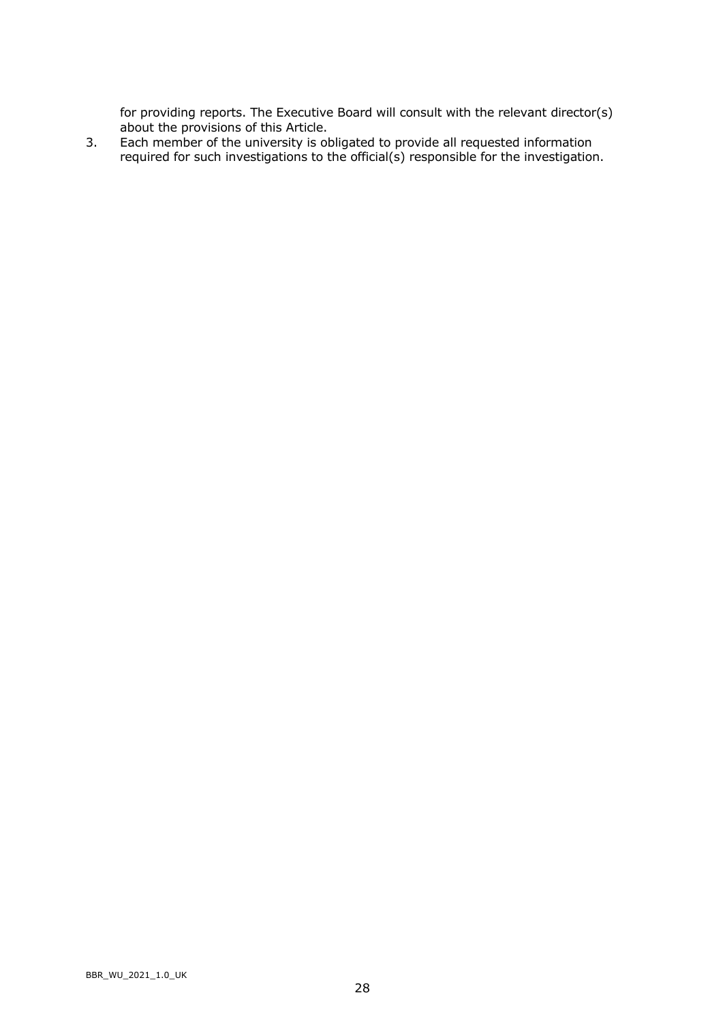for providing reports. The Executive Board will consult with the relevant director(s) about the provisions of this Article.

3. Each member of the university is obligated to provide all requested information required for such investigations to the official(s) responsible for the investigation.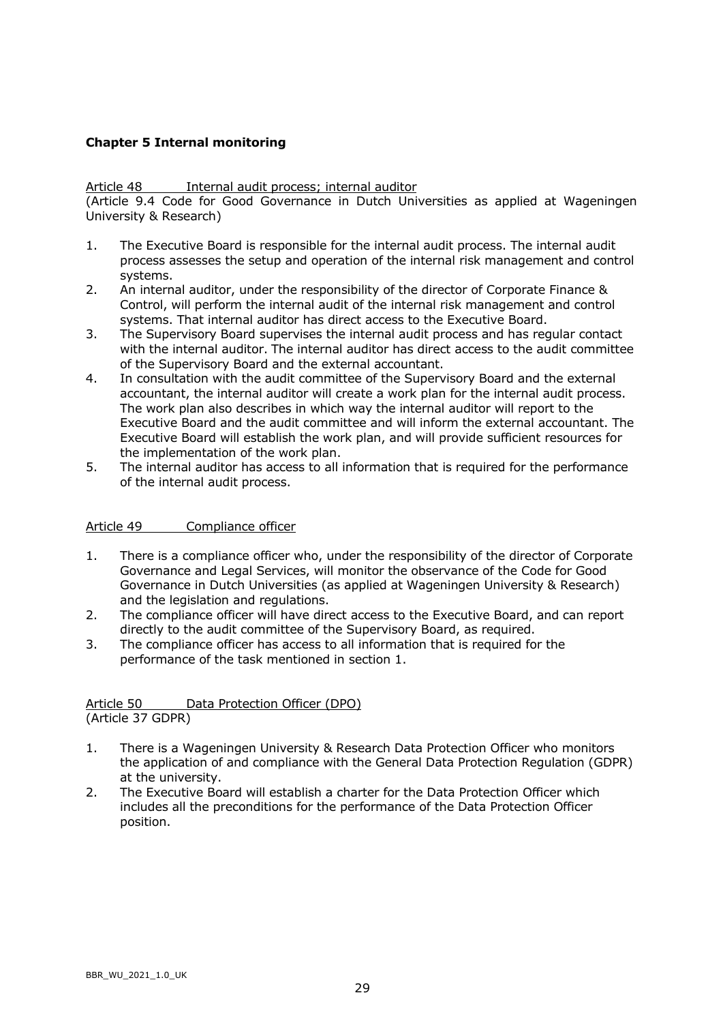# **Chapter 5 Internal monitoring**

### Article 48 Internal audit process; internal auditor

(Article 9.4 Code for Good Governance in Dutch Universities as applied at Wageningen University & Research)

- 1. The Executive Board is responsible for the internal audit process. The internal audit process assesses the setup and operation of the internal risk management and control systems.
- 2. An internal auditor, under the responsibility of the director of Corporate Finance & Control, will perform the internal audit of the internal risk management and control systems. That internal auditor has direct access to the Executive Board.
- 3. The Supervisory Board supervises the internal audit process and has regular contact with the internal auditor. The internal auditor has direct access to the audit committee of the Supervisory Board and the external accountant.
- 4. In consultation with the audit committee of the Supervisory Board and the external accountant, the internal auditor will create a work plan for the internal audit process. The work plan also describes in which way the internal auditor will report to the Executive Board and the audit committee and will inform the external accountant. The Executive Board will establish the work plan, and will provide sufficient resources for the implementation of the work plan.
- 5. The internal auditor has access to all information that is required for the performance of the internal audit process.

### Article 49 Compliance officer

- 1. There is a compliance officer who, under the responsibility of the director of Corporate Governance and Legal Services, will monitor the observance of the Code for Good Governance in Dutch Universities (as applied at Wageningen University & Research) and the legislation and regulations.
- 2. The compliance officer will have direct access to the Executive Board, and can report directly to the audit committee of the Supervisory Board, as required.
- 3. The compliance officer has access to all information that is required for the performance of the task mentioned in section 1.

### Article 50 Data Protection Officer (DPO) (Article 37 GDPR)

- 1. There is a Wageningen University & Research Data Protection Officer who monitors the application of and compliance with the General Data Protection Regulation (GDPR) at the university.
- 2. The Executive Board will establish a charter for the Data Protection Officer which includes all the preconditions for the performance of the Data Protection Officer position.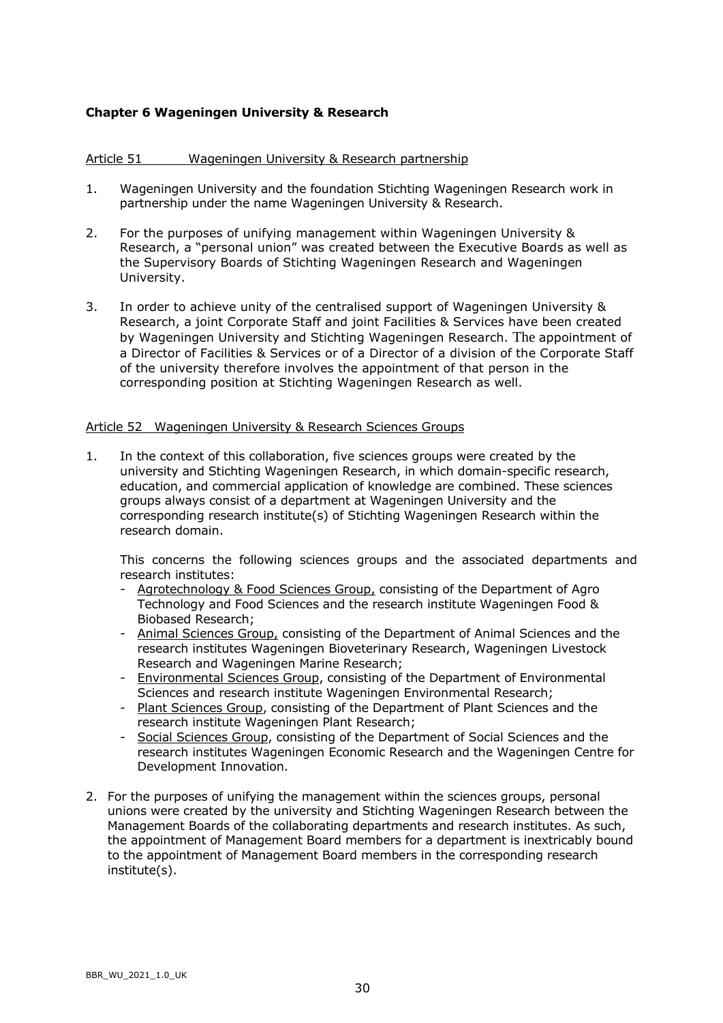# **Chapter 6 Wageningen University & Research**

### Article 51 Wageningen University & Research partnership

- 1. Wageningen University and the foundation Stichting Wageningen Research work in partnership under the name Wageningen University & Research.
- 2. For the purposes of unifying management within Wageningen University & Research, a "personal union" was created between the Executive Boards as well as the Supervisory Boards of Stichting Wageningen Research and Wageningen University.
- 3. In order to achieve unity of the centralised support of Wageningen University & Research, a joint Corporate Staff and joint Facilities & Services have been created by Wageningen University and Stichting Wageningen Research. The appointment of a Director of Facilities & Services or of a Director of a division of the Corporate Staff of the university therefore involves the appointment of that person in the corresponding position at Stichting Wageningen Research as well.

### Article 52 Wageningen University & Research Sciences Groups

1. In the context of this collaboration, five sciences groups were created by the university and Stichting Wageningen Research, in which domain-specific research, education, and commercial application of knowledge are combined. These sciences groups always consist of a department at Wageningen University and the corresponding research institute(s) of Stichting Wageningen Research within the research domain.

This concerns the following sciences groups and the associated departments and research institutes:

- Agrotechnology & Food Sciences Group, consisting of the Department of Agro Technology and Food Sciences and the research institute Wageningen Food & Biobased Research;
- Animal Sciences Group, consisting of the Department of Animal Sciences and the research institutes Wageningen Bioveterinary Research, Wageningen Livestock Research and Wageningen Marine Research;
- Environmental Sciences Group, consisting of the Department of Environmental Sciences and research institute Wageningen Environmental Research;
- Plant Sciences Group, consisting of the Department of Plant Sciences and the research institute Wageningen Plant Research;
- Social Sciences Group, consisting of the Department of Social Sciences and the research institutes Wageningen Economic Research and the Wageningen Centre for Development Innovation.
- 2. For the purposes of unifying the management within the sciences groups, personal unions were created by the university and Stichting Wageningen Research between the Management Boards of the collaborating departments and research institutes. As such, the appointment of Management Board members for a department is inextricably bound to the appointment of Management Board members in the corresponding research institute(s).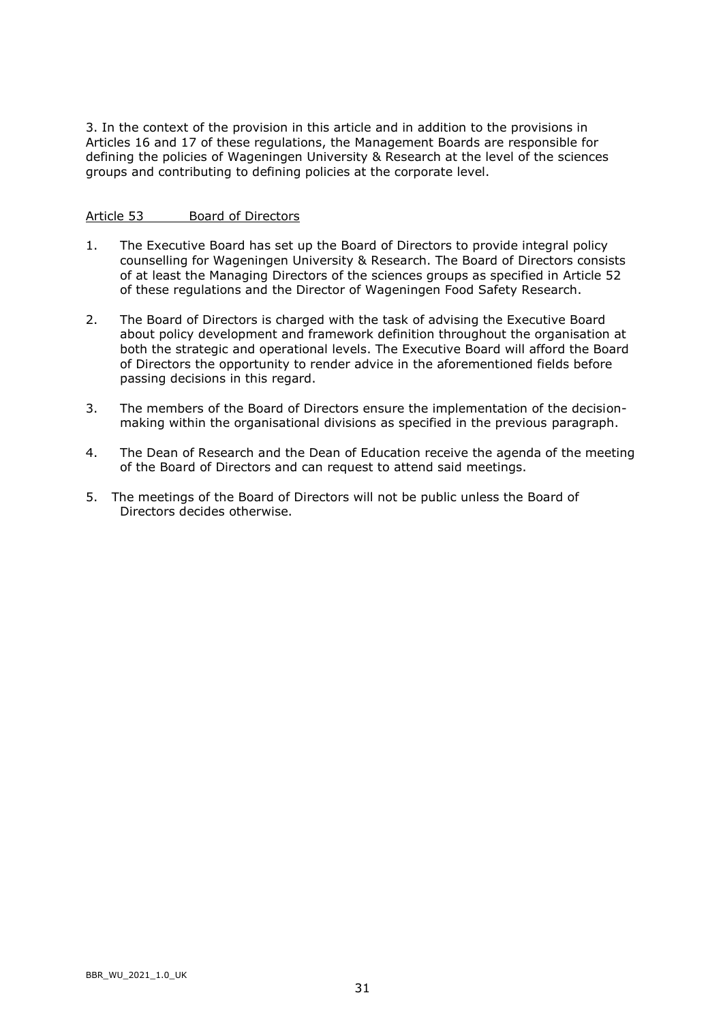3. In the context of the provision in this article and in addition to the provisions in Articles 16 and 17 of these regulations, the Management Boards are responsible for defining the policies of Wageningen University & Research at the level of the sciences groups and contributing to defining policies at the corporate level.

### Article 53 Board of Directors

- 1. The Executive Board has set up the Board of Directors to provide integral policy counselling for Wageningen University & Research. The Board of Directors consists of at least the Managing Directors of the sciences groups as specified in Article 52 of these regulations and the Director of Wageningen Food Safety Research.
- 2. The Board of Directors is charged with the task of advising the Executive Board about policy development and framework definition throughout the organisation at both the strategic and operational levels. The Executive Board will afford the Board of Directors the opportunity to render advice in the aforementioned fields before passing decisions in this regard.
- 3. The members of the Board of Directors ensure the implementation of the decisionmaking within the organisational divisions as specified in the previous paragraph.
- 4. The Dean of Research and the Dean of Education receive the agenda of the meeting of the Board of Directors and can request to attend said meetings.
- 5. The meetings of the Board of Directors will not be public unless the Board of Directors decides otherwise.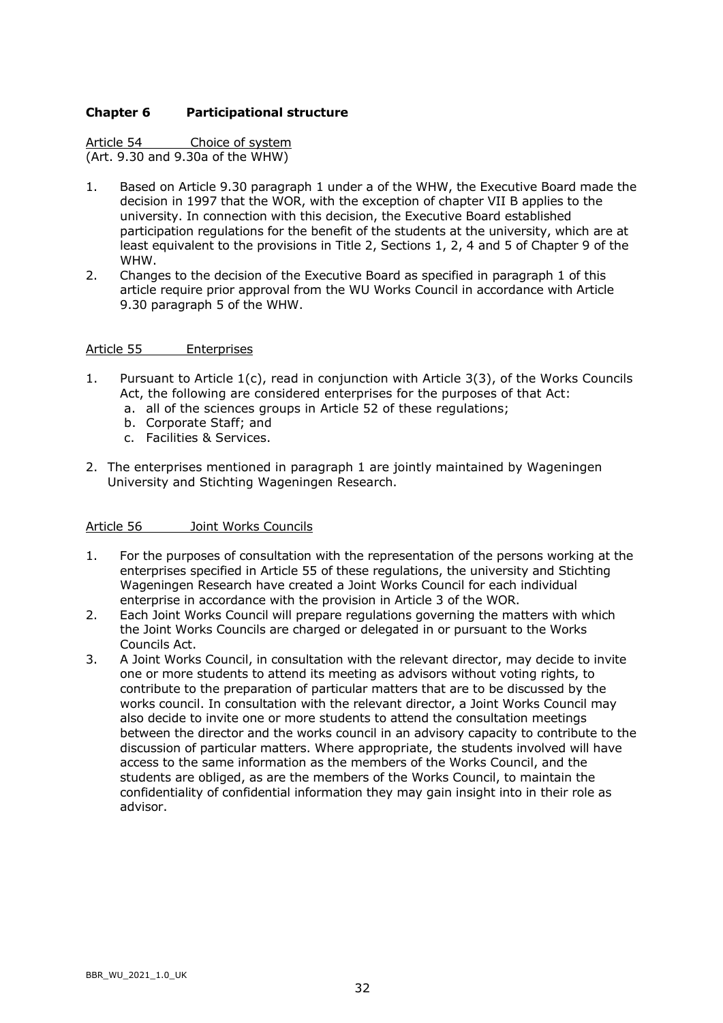### **Chapter 6 Participational structure**

Article 54 Choice of system (Art. 9.30 and 9.30a of the WHW)

- 1. Based on Article 9.30 paragraph 1 under a of the WHW, the Executive Board made the decision in 1997 that the WOR, with the exception of chapter VII B applies to the university. In connection with this decision, the Executive Board established participation regulations for the benefit of the students at the university, which are at least equivalent to the provisions in Title 2, Sections 1, 2, 4 and 5 of Chapter 9 of the WHW.
- 2. Changes to the decision of the Executive Board as specified in paragraph 1 of this article require prior approval from the WU Works Council in accordance with Article 9.30 paragraph 5 of the WHW.

### Article 55 Enterprises

- 1. Pursuant to Article 1(c), read in conjunction with Article 3(3), of the Works Councils Act, the following are considered enterprises for the purposes of that Act:
	- a. all of the sciences groups in Article 52 of these regulations;
	- b. Corporate Staff; and
	- c. Facilities & Services.
- 2. The enterprises mentioned in paragraph 1 are jointly maintained by Wageningen University and Stichting Wageningen Research.

### Article 56 Joint Works Councils

- 1. For the purposes of consultation with the representation of the persons working at the enterprises specified in Article 55 of these regulations, the university and Stichting Wageningen Research have created a Joint Works Council for each individual enterprise in accordance with the provision in Article 3 of the WOR.
- 2. Each Joint Works Council will prepare regulations governing the matters with which the Joint Works Councils are charged or delegated in or pursuant to the Works Councils Act.
- 3. A Joint Works Council, in consultation with the relevant director, may decide to invite one or more students to attend its meeting as advisors without voting rights, to contribute to the preparation of particular matters that are to be discussed by the works council. In consultation with the relevant director, a Joint Works Council may also decide to invite one or more students to attend the consultation meetings between the director and the works council in an advisory capacity to contribute to the discussion of particular matters. Where appropriate, the students involved will have access to the same information as the members of the Works Council, and the students are obliged, as are the members of the Works Council, to maintain the confidentiality of confidential information they may gain insight into in their role as advisor.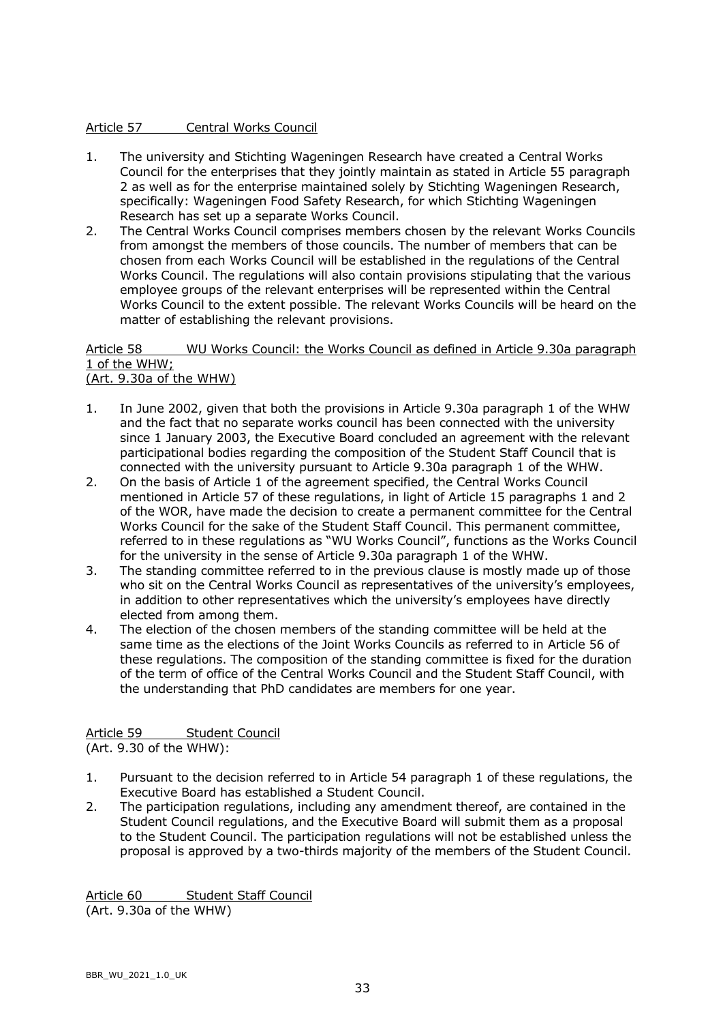## Article 57 Central Works Council

- 1. The university and Stichting Wageningen Research have created a Central Works Council for the enterprises that they jointly maintain as stated in Article 55 paragraph 2 as well as for the enterprise maintained solely by Stichting Wageningen Research, specifically: Wageningen Food Safety Research, for which Stichting Wageningen Research has set up a separate Works Council.
- 2. The Central Works Council comprises members chosen by the relevant Works Councils from amongst the members of those councils. The number of members that can be chosen from each Works Council will be established in the regulations of the Central Works Council. The regulations will also contain provisions stipulating that the various employee groups of the relevant enterprises will be represented within the Central Works Council to the extent possible. The relevant Works Councils will be heard on the matter of establishing the relevant provisions.

### Article 58 WU Works Council: the Works Council as defined in Article 9.30a paragraph 1 of the WHW; (Art. 9.30a of the WHW)

- 1. In June 2002, given that both the provisions in Article 9.30a paragraph 1 of the WHW and the fact that no separate works council has been connected with the university since 1 January 2003, the Executive Board concluded an agreement with the relevant participational bodies regarding the composition of the Student Staff Council that is connected with the university pursuant to Article 9.30a paragraph 1 of the WHW.
- 2. On the basis of Article 1 of the agreement specified, the Central Works Council mentioned in Article 57 of these regulations, in light of Article 15 paragraphs 1 and 2 of the WOR, have made the decision to create a permanent committee for the Central Works Council for the sake of the Student Staff Council. This permanent committee, referred to in these regulations as "WU Works Council", functions as the Works Council for the university in the sense of Article 9.30a paragraph 1 of the WHW.
- 3. The standing committee referred to in the previous clause is mostly made up of those who sit on the Central Works Council as representatives of the university's employees, in addition to other representatives which the university's employees have directly elected from among them.
- 4. The election of the chosen members of the standing committee will be held at the same time as the elections of the Joint Works Councils as referred to in Article 56 of these regulations. The composition of the standing committee is fixed for the duration of the term of office of the Central Works Council and the Student Staff Council, with the understanding that PhD candidates are members for one year.

# Article 59 Student Council

(Art. 9.30 of the WHW):

- 1. Pursuant to the decision referred to in Article 54 paragraph 1 of these regulations, the Executive Board has established a Student Council.
- 2. The participation regulations, including any amendment thereof, are contained in the Student Council regulations, and the Executive Board will submit them as a proposal to the Student Council. The participation regulations will not be established unless the proposal is approved by a two-thirds majority of the members of the Student Council.

Article 60 Student Staff Council (Art. 9.30a of the WHW)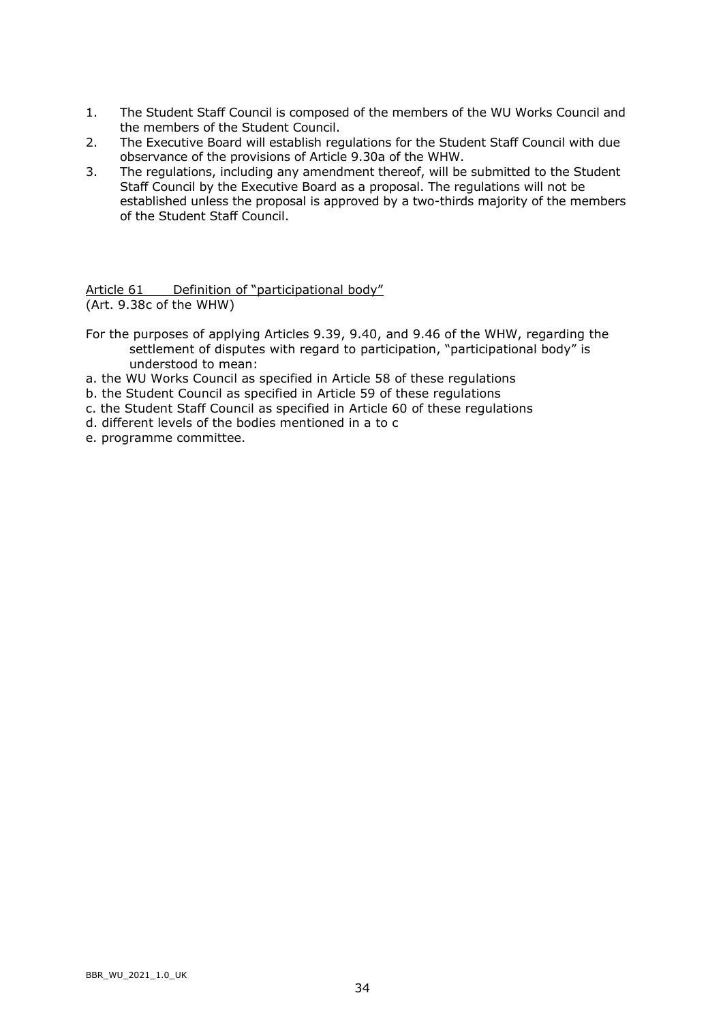- 1. The Student Staff Council is composed of the members of the WU Works Council and the members of the Student Council.
- 2. The Executive Board will establish regulations for the Student Staff Council with due observance of the provisions of Article 9.30a of the WHW.
- 3. The regulations, including any amendment thereof, will be submitted to the Student Staff Council by the Executive Board as a proposal. The regulations will not be established unless the proposal is approved by a two-thirds majority of the members of the Student Staff Council.

Article 61 Definition of "participational body" (Art. 9.38c of the WHW)

- For the purposes of applying Articles 9.39, 9.40, and 9.46 of the WHW, regarding the settlement of disputes with regard to participation, "participational body" is understood to mean:
- a. the WU Works Council as specified in Article 58 of these regulations
- b. the Student Council as specified in Article 59 of these regulations
- c. the Student Staff Council as specified in Article 60 of these regulations
- d. different levels of the bodies mentioned in a to c
- e. programme committee.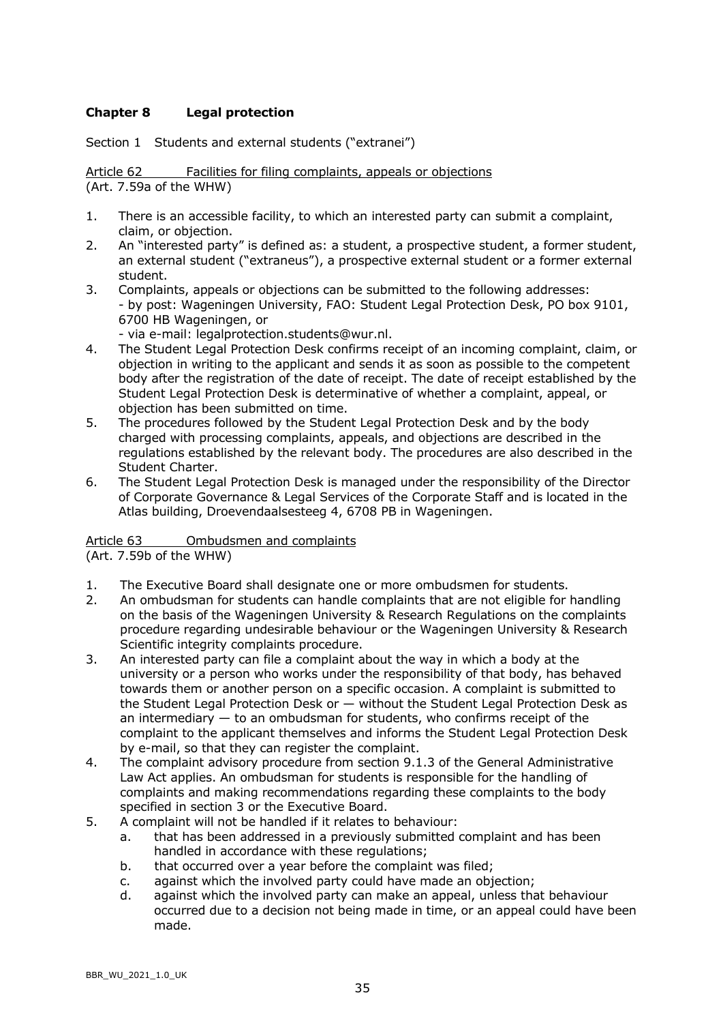# **Chapter 8 Legal protection**

Section 1 Students and external students ("extranei")

Article 62 Facilities for filing complaints, appeals or objections (Art. 7.59a of the WHW)

- 1. There is an accessible facility, to which an interested party can submit a complaint, claim, or objection.
- 2. An "interested party" is defined as: a student, a prospective student, a former student, an external student ("extraneus"), a prospective external student or a former external student.
- 3. Complaints, appeals or objections can be submitted to the following addresses: - by post: Wageningen University, FAO: Student Legal Protection Desk, PO box 9101, 6700 HB Wageningen, or

- via e-mail: legalprotection.students@wur.nl.

- 4. The Student Legal Protection Desk confirms receipt of an incoming complaint, claim, or objection in writing to the applicant and sends it as soon as possible to the competent body after the registration of the date of receipt. The date of receipt established by the Student Legal Protection Desk is determinative of whether a complaint, appeal, or objection has been submitted on time.
- 5. The procedures followed by the Student Legal Protection Desk and by the body charged with processing complaints, appeals, and objections are described in the regulations established by the relevant body. The procedures are also described in the Student Charter.
- 6. The Student Legal Protection Desk is managed under the responsibility of the Director of Corporate Governance & Legal Services of the Corporate Staff and is located in the Atlas building, Droevendaalsesteeg 4, 6708 PB in Wageningen.

# Article 63 Ombudsmen and complaints

(Art. 7.59b of the WHW)

- 1. The Executive Board shall designate one or more ombudsmen for students.
- 2. An ombudsman for students can handle complaints that are not eligible for handling on the basis of the Wageningen University & Research Regulations on the complaints procedure regarding undesirable behaviour or the Wageningen University & Research Scientific integrity complaints procedure.
- 3. An interested party can file a complaint about the way in which a body at the university or a person who works under the responsibility of that body, has behaved towards them or another person on a specific occasion. A complaint is submitted to the Student Legal Protection Desk or — without the Student Legal Protection Desk as an intermediary — to an ombudsman for students, who confirms receipt of the complaint to the applicant themselves and informs the Student Legal Protection Desk by e-mail, so that they can register the complaint.
- 4. The complaint advisory procedure from section 9.1.3 of the General Administrative Law Act applies. An ombudsman for students is responsible for the handling of complaints and making recommendations regarding these complaints to the body specified in section 3 or the Executive Board.
- 5. A complaint will not be handled if it relates to behaviour:
	- a. that has been addressed in a previously submitted complaint and has been handled in accordance with these regulations;
	- b. that occurred over a year before the complaint was filed;
	- c. against which the involved party could have made an objection;
	- d. against which the involved party can make an appeal, unless that behaviour occurred due to a decision not being made in time, or an appeal could have been made.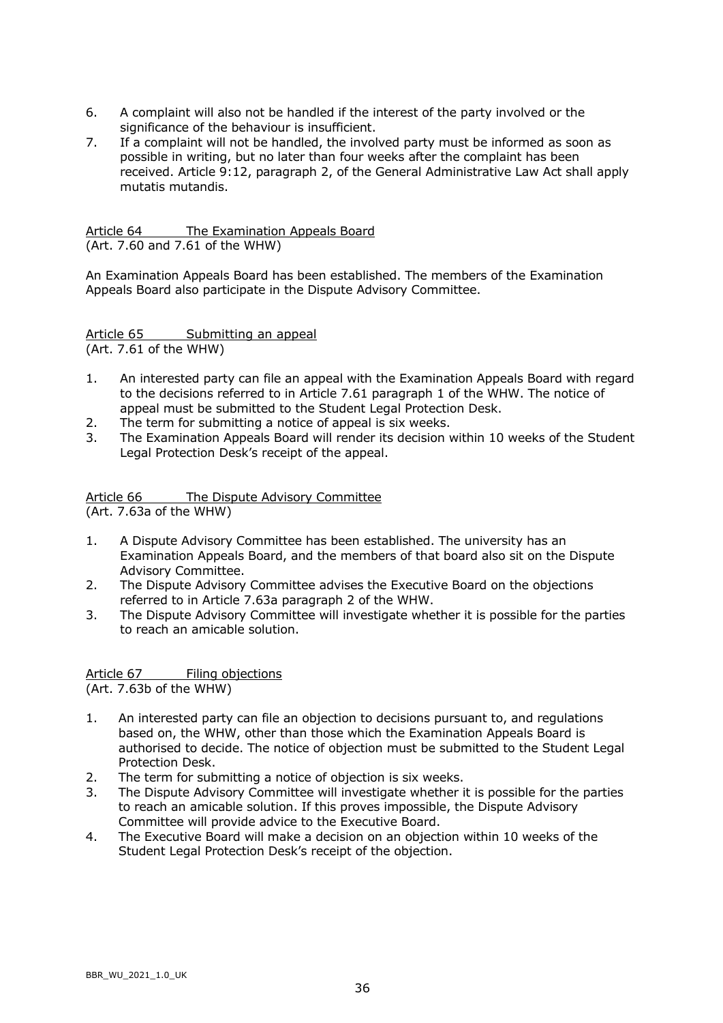- 6. A complaint will also not be handled if the interest of the party involved or the significance of the behaviour is insufficient.
- 7. If a complaint will not be handled, the involved party must be informed as soon as possible in writing, but no later than four weeks after the complaint has been received. Article 9:12, paragraph 2, of the General Administrative Law Act shall apply mutatis mutandis.

Article 64 The Examination Appeals Board (Art. 7.60 and 7.61 of the WHW)

An Examination Appeals Board has been established. The members of the Examination Appeals Board also participate in the Dispute Advisory Committee.

Article 65 Submitting an appeal (Art. 7.61 of the WHW)

- 1. An interested party can file an appeal with the Examination Appeals Board with regard to the decisions referred to in Article 7.61 paragraph 1 of the WHW. The notice of appeal must be submitted to the Student Legal Protection Desk.
- 2. The term for submitting a notice of appeal is six weeks.
- 3. The Examination Appeals Board will render its decision within 10 weeks of the Student Legal Protection Desk's receipt of the appeal.

Article 66 The Dispute Advisory Committee

(Art. 7.63a of the WHW)

- 1. A Dispute Advisory Committee has been established. The university has an Examination Appeals Board, and the members of that board also sit on the Dispute Advisory Committee.
- 2. The Dispute Advisory Committee advises the Executive Board on the objections referred to in Article 7.63a paragraph 2 of the WHW.
- 3. The Dispute Advisory Committee will investigate whether it is possible for the parties to reach an amicable solution.

Article 67 Filing objections (Art. 7.63b of the WHW)

- 1. An interested party can file an objection to decisions pursuant to, and regulations based on, the WHW, other than those which the Examination Appeals Board is authorised to decide. The notice of objection must be submitted to the Student Legal Protection Desk.
- 2. The term for submitting a notice of objection is six weeks.
- 3. The Dispute Advisory Committee will investigate whether it is possible for the parties to reach an amicable solution. If this proves impossible, the Dispute Advisory Committee will provide advice to the Executive Board.
- 4. The Executive Board will make a decision on an objection within 10 weeks of the Student Legal Protection Desk's receipt of the objection.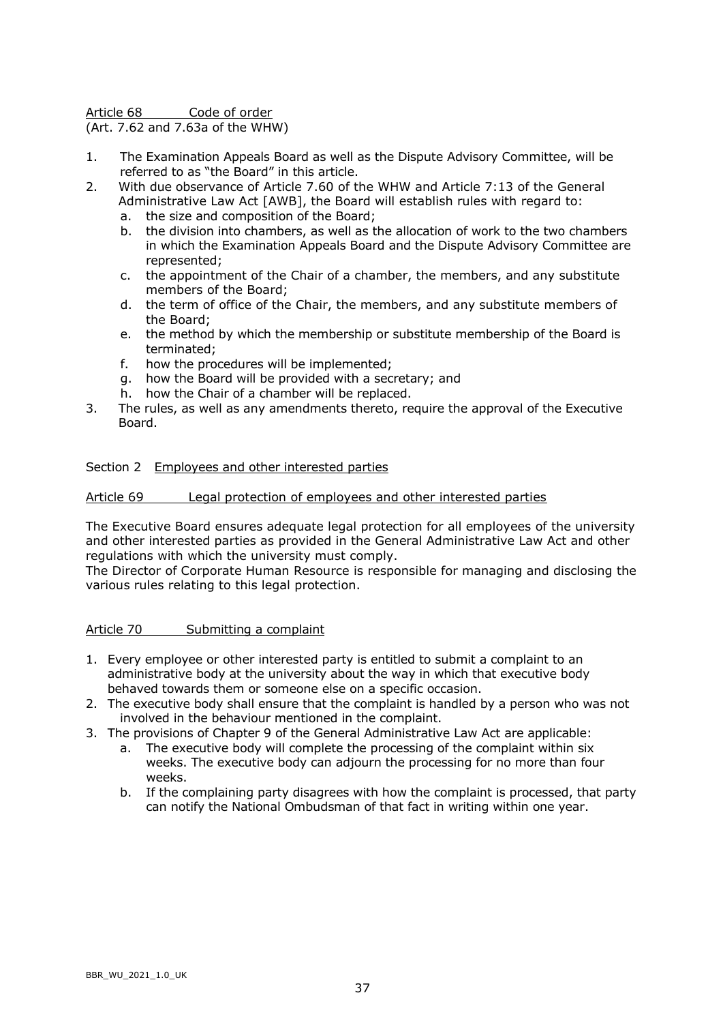Article 68 Code of order

(Art. 7.62 and 7.63a of the WHW)

- 1. The Examination Appeals Board as well as the Dispute Advisory Committee, will be referred to as "the Board" in this article.
- 2. With due observance of Article 7.60 of the WHW and Article 7:13 of the General Administrative Law Act [AWB], the Board will establish rules with regard to:
	- a. the size and composition of the Board;
	- b. the division into chambers, as well as the allocation of work to the two chambers in which the Examination Appeals Board and the Dispute Advisory Committee are represented;
	- c. the appointment of the Chair of a chamber, the members, and any substitute members of the Board;
	- d. the term of office of the Chair, the members, and any substitute members of the Board;
	- e. the method by which the membership or substitute membership of the Board is terminated;
	- f. how the procedures will be implemented;
	- g. how the Board will be provided with a secretary; and
	- h. how the Chair of a chamber will be replaced.
- 3. The rules, as well as any amendments thereto, require the approval of the Executive Board.

### Section 2 Employees and other interested parties

### Article 69 Legal protection of employees and other interested parties

The Executive Board ensures adequate legal protection for all employees of the university and other interested parties as provided in the General Administrative Law Act and other regulations with which the university must comply.

The Director of Corporate Human Resource is responsible for managing and disclosing the various rules relating to this legal protection.

Article 70 Submitting a complaint

- 1. Every employee or other interested party is entitled to submit a complaint to an administrative body at the university about the way in which that executive body behaved towards them or someone else on a specific occasion.
- 2. The executive body shall ensure that the complaint is handled by a person who was not involved in the behaviour mentioned in the complaint.
- 3. The provisions of Chapter 9 of the General Administrative Law Act are applicable:
	- a. The executive body will complete the processing of the complaint within six weeks. The executive body can adjourn the processing for no more than four weeks.
	- b. If the complaining party disagrees with how the complaint is processed, that party can notify the National Ombudsman of that fact in writing within one year.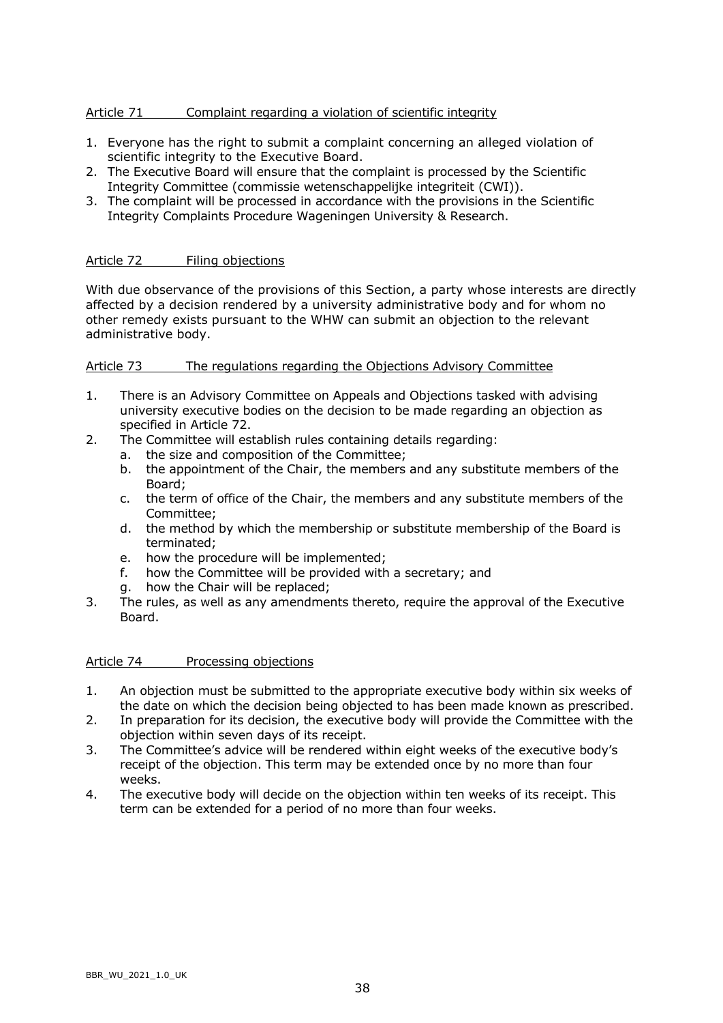# Article 71 Complaint regarding a violation of scientific integrity

- 1. Everyone has the right to submit a complaint concerning an alleged violation of scientific integrity to the Executive Board.
- 2. The Executive Board will ensure that the complaint is processed by the Scientific Integrity Committee (commissie wetenschappelijke integriteit (CWI)).
- 3. The complaint will be processed in accordance with the provisions in the Scientific Integrity Complaints Procedure Wageningen University & Research.

### Article 72 Filing objections

With due observance of the provisions of this Section, a party whose interests are directly affected by a decision rendered by a university administrative body and for whom no other remedy exists pursuant to the WHW can submit an objection to the relevant administrative body.

## Article 73 The regulations regarding the Objections Advisory Committee

- 1. There is an Advisory Committee on Appeals and Objections tasked with advising university executive bodies on the decision to be made regarding an objection as specified in Article 72.
- 2. The Committee will establish rules containing details regarding:
	- a. the size and composition of the Committee;
	- b. the appointment of the Chair, the members and any substitute members of the Board;
	- c. the term of office of the Chair, the members and any substitute members of the Committee;
	- d. the method by which the membership or substitute membership of the Board is terminated;
	- e. how the procedure will be implemented;
	- f. how the Committee will be provided with a secretary; and
	- g. how the Chair will be replaced;
- 3. The rules, as well as any amendments thereto, require the approval of the Executive Board.

### Article 74 Processing objections

- 1. An objection must be submitted to the appropriate executive body within six weeks of the date on which the decision being objected to has been made known as prescribed.
- 2. In preparation for its decision, the executive body will provide the Committee with the objection within seven days of its receipt.
- 3. The Committee's advice will be rendered within eight weeks of the executive body's receipt of the objection. This term may be extended once by no more than four weeks.
- 4. The executive body will decide on the objection within ten weeks of its receipt. This term can be extended for a period of no more than four weeks.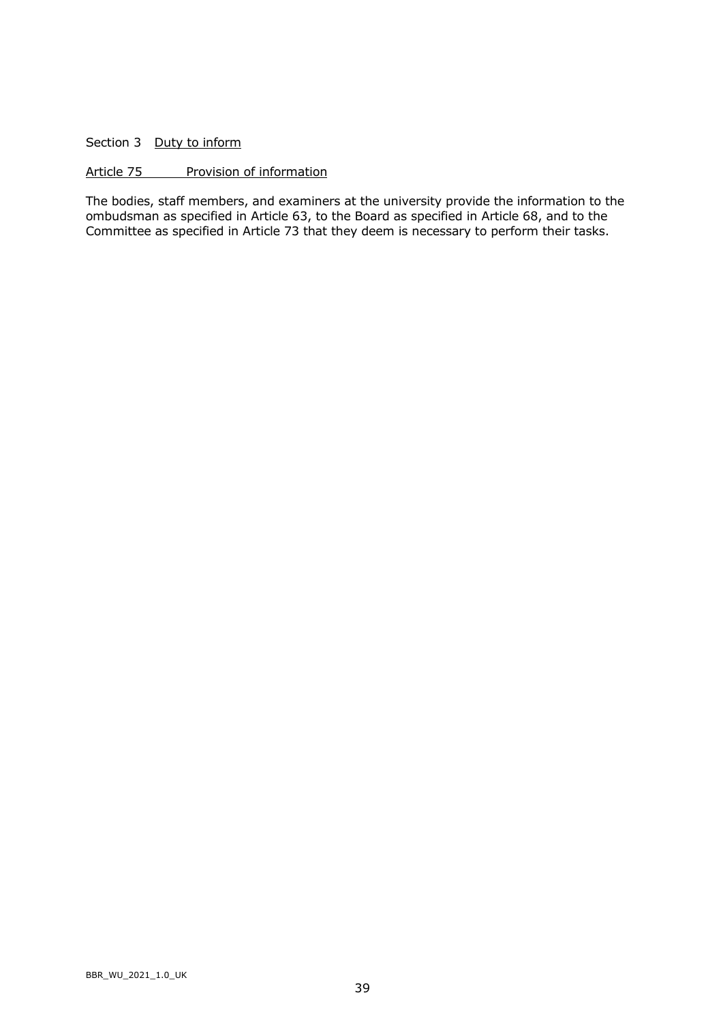Section 3 Duty to inform

### Article 75 Provision of information

The bodies, staff members, and examiners at the university provide the information to the ombudsman as specified in Article 63, to the Board as specified in Article 68, and to the Committee as specified in Article 73 that they deem is necessary to perform their tasks.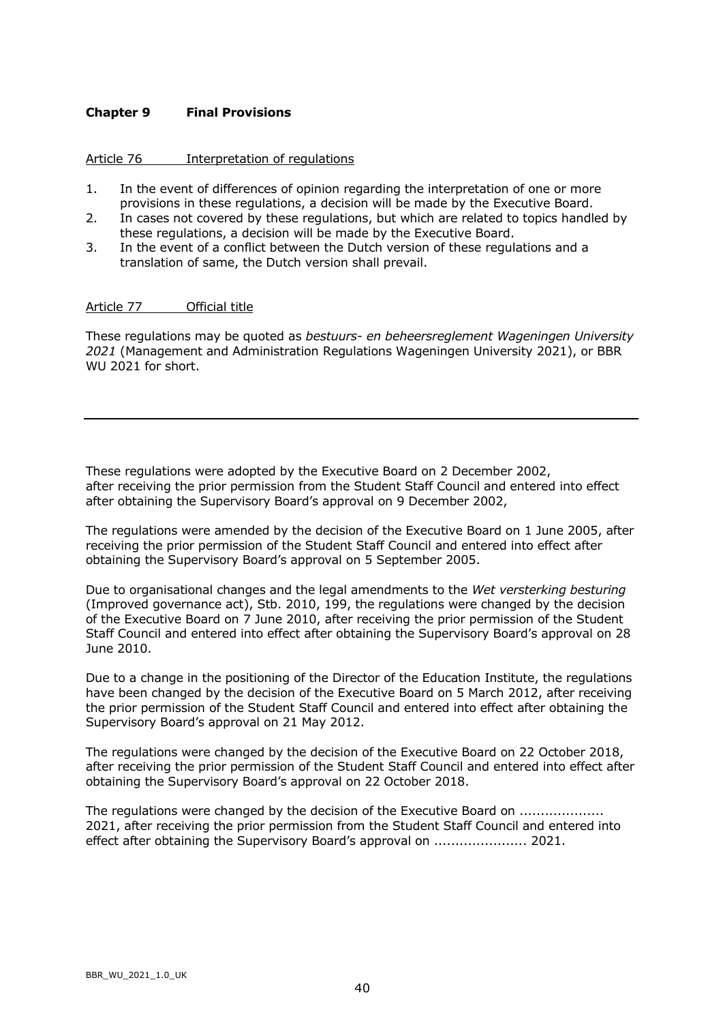## **Chapter 9 Final Provisions**

### Article 76 Interpretation of regulations

- 1. In the event of differences of opinion regarding the interpretation of one or more provisions in these regulations, a decision will be made by the Executive Board.
- 2. In cases not covered by these regulations, but which are related to topics handled by these regulations, a decision will be made by the Executive Board.
- 3. In the event of a conflict between the Dutch version of these regulations and a translation of same, the Dutch version shall prevail.

### Article 77 Official title

These regulations may be quoted as *bestuurs- en beheersreglement Wageningen University 2021* (Management and Administration Regulations Wageningen University 2021), or BBR WU 2021 for short.

These regulations were adopted by the Executive Board on 2 December 2002, after receiving the prior permission from the Student Staff Council and entered into effect after obtaining the Supervisory Board's approval on 9 December 2002,

The regulations were amended by the decision of the Executive Board on 1 June 2005, after receiving the prior permission of the Student Staff Council and entered into effect after obtaining the Supervisory Board's approval on 5 September 2005.

Due to organisational changes and the legal amendments to the *Wet versterking besturing* (Improved governance act), Stb. 2010, 199, the regulations were changed by the decision of the Executive Board on 7 June 2010, after receiving the prior permission of the Student Staff Council and entered into effect after obtaining the Supervisory Board's approval on 28 June 2010.

Due to a change in the positioning of the Director of the Education Institute, the regulations have been changed by the decision of the Executive Board on 5 March 2012, after receiving the prior permission of the Student Staff Council and entered into effect after obtaining the Supervisory Board's approval on 21 May 2012.

The regulations were changed by the decision of the Executive Board on 22 October 2018, after receiving the prior permission of the Student Staff Council and entered into effect after obtaining the Supervisory Board's approval on 22 October 2018.

The regulations were changed by the decision of the Executive Board on ................... 2021, after receiving the prior permission from the Student Staff Council and entered into effect after obtaining the Supervisory Board's approval on ........................ 2021.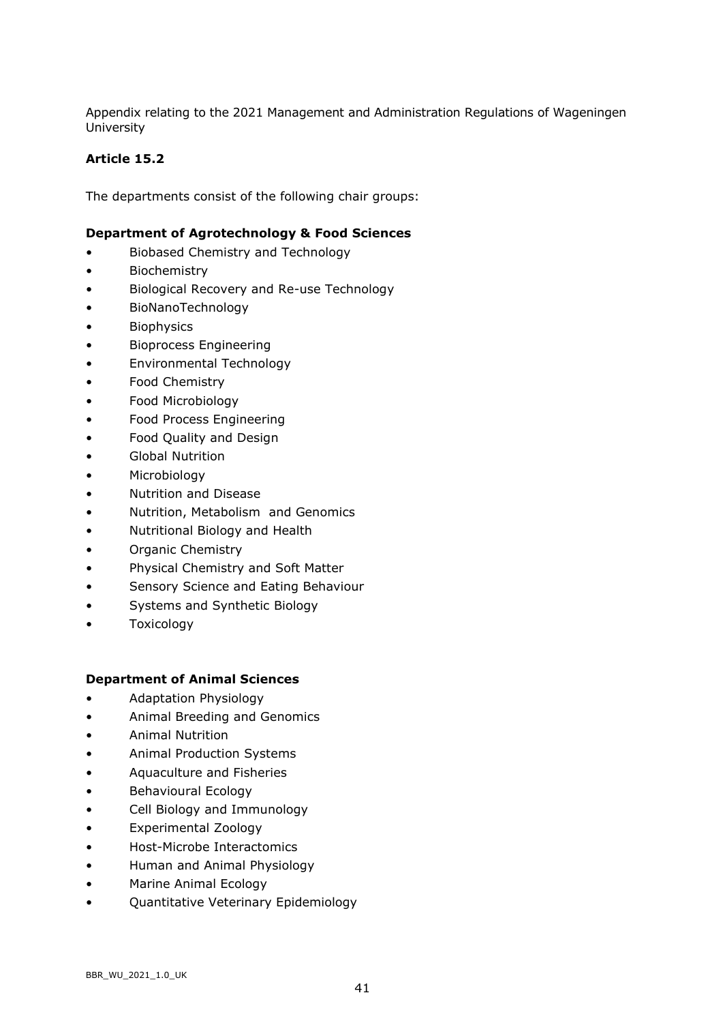Appendix relating to the 2021 Management and Administration Regulations of Wageningen University

# **Article 15.2**

The departments consist of the following chair groups:

## **Department of Agrotechnology & Food Sciences**

- Biobased Chemistry and Technology
- Biochemistry
- Biological Recovery and Re-use Technology
- BioNanoTechnology
- Biophysics
- Bioprocess Engineering
- Environmental Technology
- Food Chemistry
- Food Microbiology
- Food Process Engineering
- Food Quality and Design
- Global Nutrition
- Microbiology
- Nutrition and Disease
- Nutrition, Metabolism and Genomics
- Nutritional Biology and Health
- Organic Chemistry
- Physical Chemistry and Soft Matter
- Sensory Science and Eating Behaviour
- Systems and Synthetic Biology
- Toxicology

### **Department of Animal Sciences**

- Adaptation Physiology
- Animal Breeding and Genomics
- Animal Nutrition
- Animal Production Systems
- Aquaculture and Fisheries
- Behavioural Ecology
- Cell Biology and Immunology
- Experimental Zoology
- Host-Microbe Interactomics
- Human and Animal Physiology
- Marine Animal Ecology
- Quantitative Veterinary Epidemiology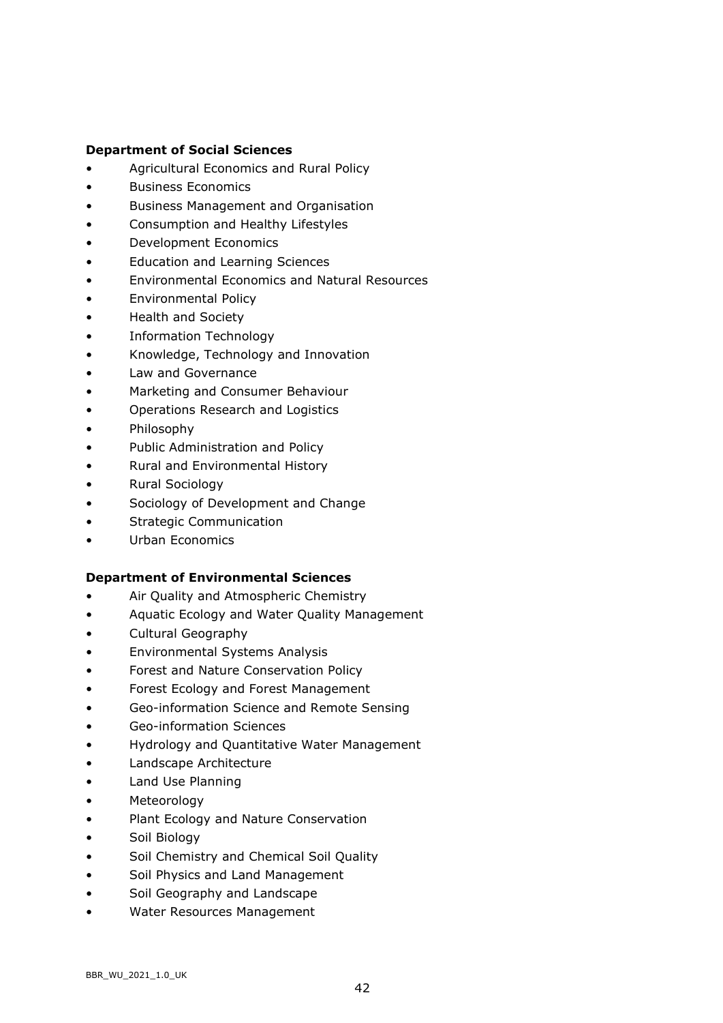### **Department of Social Sciences**

- Agricultural Economics and Rural Policy
- Business Economics
- Business Management and Organisation
- Consumption and Healthy Lifestyles
- Development Economics
- Education and Learning Sciences
- Environmental Economics and Natural Resources
- Environmental Policy
- Health and Society
- Information Technology
- Knowledge, Technology and Innovation
- Law and Governance
- Marketing and Consumer Behaviour
- Operations Research and Logistics
- Philosophy
- Public Administration and Policy
- Rural and Environmental History
- Rural Sociology
- Sociology of Development and Change
- Strategic Communication
- Urban Economics

### **Department of Environmental Sciences**

- Air Quality and Atmospheric Chemistry
- Aquatic Ecology and Water Quality Management
- Cultural Geography
- Environmental Systems Analysis
- Forest and Nature Conservation Policy
- Forest Ecology and Forest Management
- Geo-information Science and Remote Sensing
- Geo-information Sciences
- Hydrology and Quantitative Water Management
- Landscape Architecture
- Land Use Planning
- Meteorology
- Plant Ecology and Nature Conservation
- Soil Biology
- Soil Chemistry and Chemical Soil Quality
- Soil Physics and Land Management
- Soil Geography and Landscape
- Water Resources Management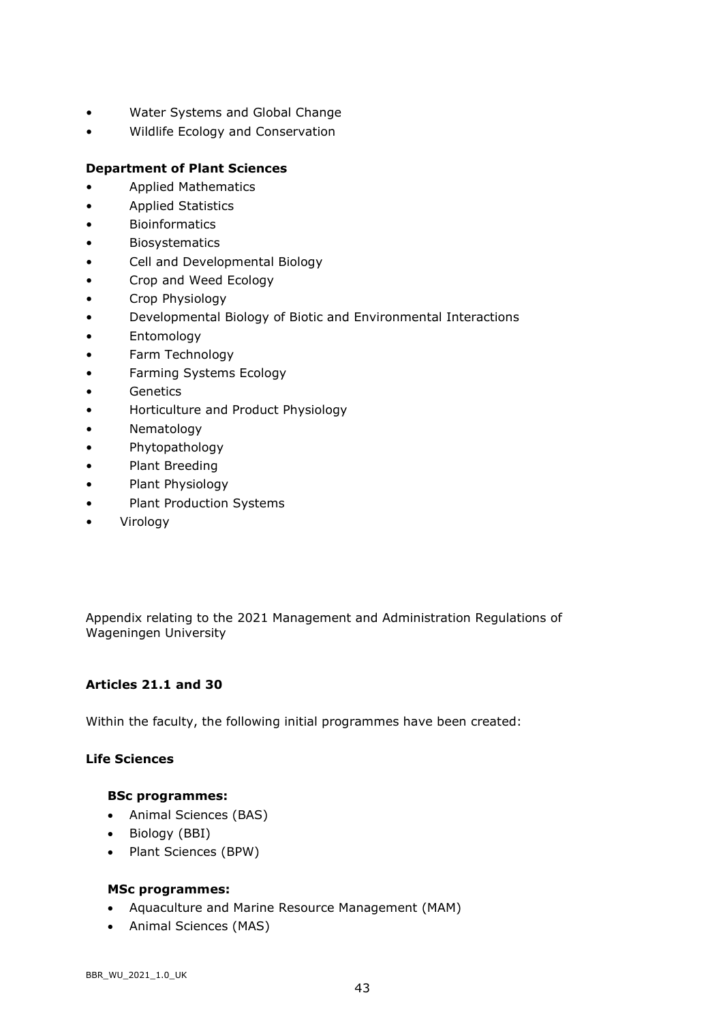- Water Systems and Global Change
- Wildlife Ecology and Conservation

# **Department of Plant Sciences**

- Applied Mathematics
- Applied Statistics
- Bioinformatics
- Biosystematics
- Cell and Developmental Biology
- Crop and Weed Ecology
- Crop Physiology
- Developmental Biology of Biotic and Environmental Interactions
- Entomology
- Farm Technology
- Farming Systems Ecology
- Genetics
- Horticulture and Product Physiology
- Nematology
- Phytopathology
- Plant Breeding
- Plant Physiology
- Plant Production Systems
- Virology

Appendix relating to the 2021 Management and Administration Regulations of Wageningen University

# **Articles 21.1 and 30**

Within the faculty, the following initial programmes have been created:

# **Life Sciences**

### **BSc programmes:**

- Animal Sciences (BAS)
- Biology (BBI)
- Plant Sciences (BPW)

# **MSc programmes:**

- Aquaculture and Marine Resource Management (MAM)
- Animal Sciences (MAS)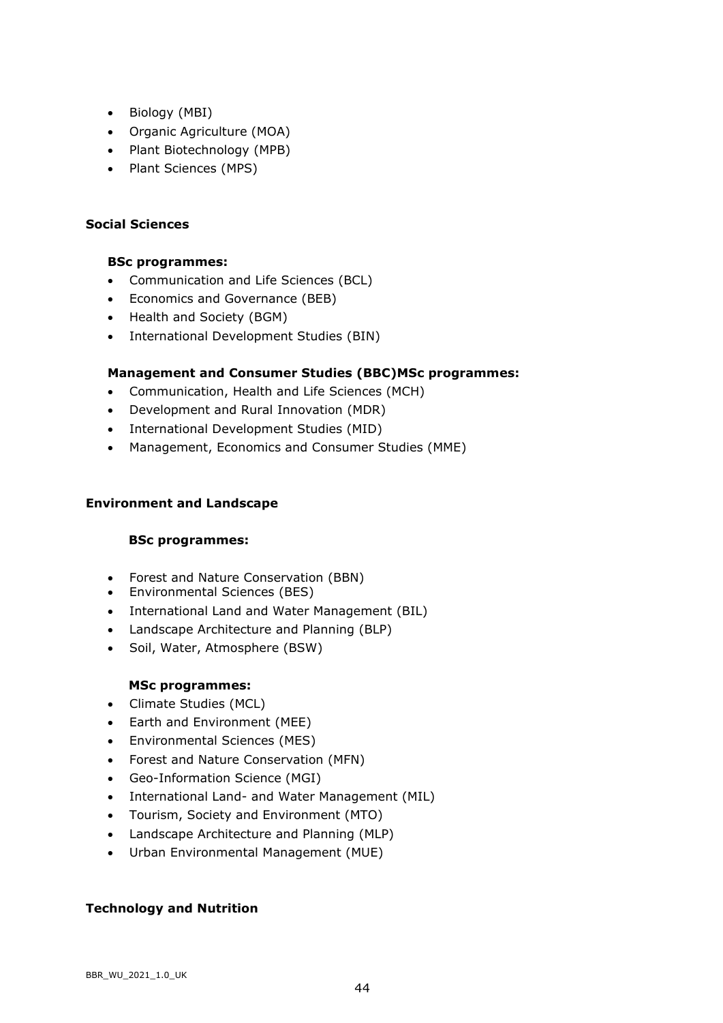- Biology (MBI)
- Organic Agriculture (MOA)
- Plant Biotechnology (MPB)
- Plant Sciences (MPS)

### **Social Sciences**

## **BSc programmes:**

- Communication and Life Sciences (BCL)
- Economics and Governance (BEB)
- Health and Society (BGM)
- International Development Studies (BIN)

## **Management and Consumer Studies (BBC)MSc programmes:**

- Communication, Health and Life Sciences (MCH)
- Development and Rural Innovation (MDR)
- International Development Studies (MID)
- Management, Economics and Consumer Studies (MME)

### **Environment and Landscape**

### **BSc programmes:**

- Forest and Nature Conservation (BBN)
- Environmental Sciences (BES)
- International Land and Water Management (BIL)
- Landscape Architecture and Planning (BLP)
- Soil, Water, Atmosphere (BSW)

### **MSc programmes:**

- Climate Studies (MCL)
- Earth and Environment (MEE)
- Environmental Sciences (MES)
- Forest and Nature Conservation (MFN)
- Geo-Information Science (MGI)
- International Land- and Water Management (MIL)
- Tourism, Society and Environment (MTO)
- Landscape Architecture and Planning (MLP)
- Urban Environmental Management (MUE)

### **Technology and Nutrition**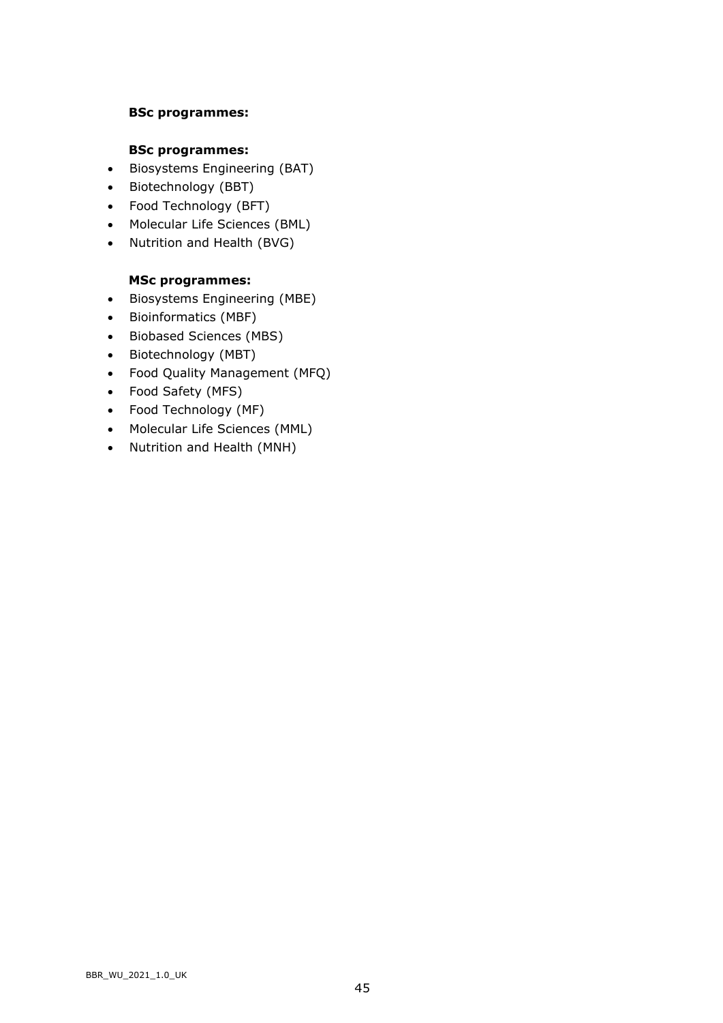### **BSc programmes:**

### **BSc programmes:**

- Biosystems Engineering (BAT)
- Biotechnology (BBT)
- Food Technology (BFT)
- Molecular Life Sciences (BML)
- Nutrition and Health (BVG)

# **MSc programmes:**

- Biosystems Engineering (MBE)
- Bioinformatics (MBF)
- Biobased Sciences (MBS)
- Biotechnology (MBT)
- Food Quality Management (MFQ)
- Food Safety (MFS)
- Food Technology (MF)
- Molecular Life Sciences (MML)
- Nutrition and Health (MNH)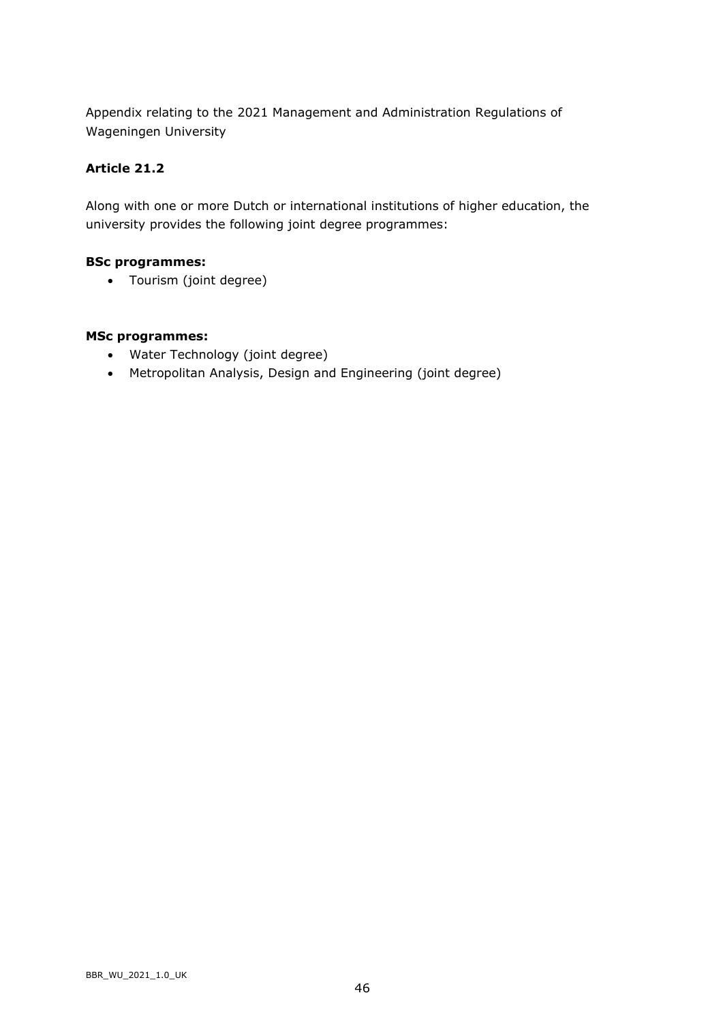Appendix relating to the 2021 Management and Administration Regulations of Wageningen University

# **Article 21.2**

Along with one or more Dutch or international institutions of higher education, the university provides the following joint degree programmes:

# **BSc programmes:**

• Tourism (joint degree)

# **MSc programmes:**

- Water Technology (joint degree)
- Metropolitan Analysis, Design and Engineering (joint degree)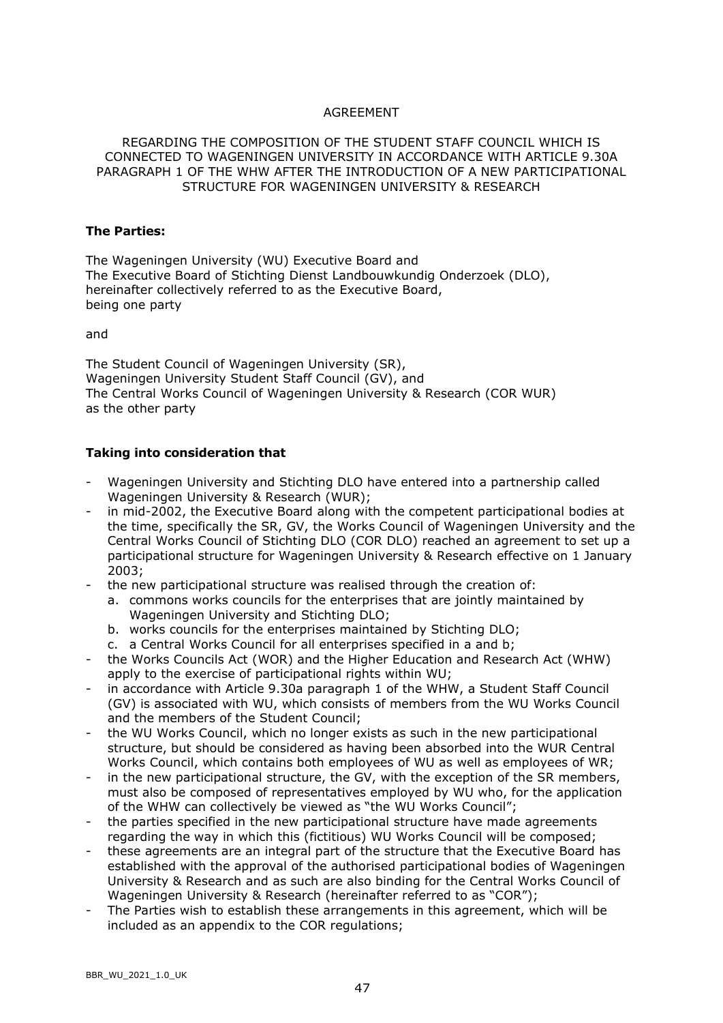### AGREEMENT

### REGARDING THE COMPOSITION OF THE STUDENT STAFF COUNCIL WHICH IS CONNECTED TO WAGENINGEN UNIVERSITY IN ACCORDANCE WITH ARTICLE 9.30A PARAGRAPH 1 OF THE WHW AFTER THE INTRODUCTION OF A NEW PARTICIPATIONAL STRUCTURE FOR WAGENINGEN UNIVERSITY & RESEARCH

#### **The Parties:**

The Wageningen University (WU) Executive Board and The Executive Board of Stichting Dienst Landbouwkundig Onderzoek (DLO), hereinafter collectively referred to as the Executive Board, being one party

and

The Student Council of Wageningen University (SR), Wageningen University Student Staff Council (GV), and The Central Works Council of Wageningen University & Research (COR WUR) as the other party

### **Taking into consideration that**

- Wageningen University and Stichting DLO have entered into a partnership called Wageningen University & Research (WUR);
- in mid-2002, the Executive Board along with the competent participational bodies at the time, specifically the SR, GV, the Works Council of Wageningen University and the Central Works Council of Stichting DLO (COR DLO) reached an agreement to set up a participational structure for Wageningen University & Research effective on 1 January 2003;
- the new participational structure was realised through the creation of:
	- a. commons works councils for the enterprises that are jointly maintained by Wageningen University and Stichting DLO;
	- b. works councils for the enterprises maintained by Stichting DLO;
	- c. a Central Works Council for all enterprises specified in a and b;
- the Works Councils Act (WOR) and the Higher Education and Research Act (WHW) apply to the exercise of participational rights within WU;
- in accordance with Article 9.30a paragraph 1 of the WHW, a Student Staff Council (GV) is associated with WU, which consists of members from the WU Works Council and the members of the Student Council;
- the WU Works Council, which no longer exists as such in the new participational structure, but should be considered as having been absorbed into the WUR Central Works Council, which contains both employees of WU as well as employees of WR;
- in the new participational structure, the GV, with the exception of the SR members, must also be composed of representatives employed by WU who, for the application of the WHW can collectively be viewed as "the WU Works Council";
- the parties specified in the new participational structure have made agreements regarding the way in which this (fictitious) WU Works Council will be composed;
- these agreements are an integral part of the structure that the Executive Board has established with the approval of the authorised participational bodies of Wageningen University & Research and as such are also binding for the Central Works Council of Wageningen University & Research (hereinafter referred to as "COR");
- The Parties wish to establish these arrangements in this agreement, which will be included as an appendix to the COR regulations;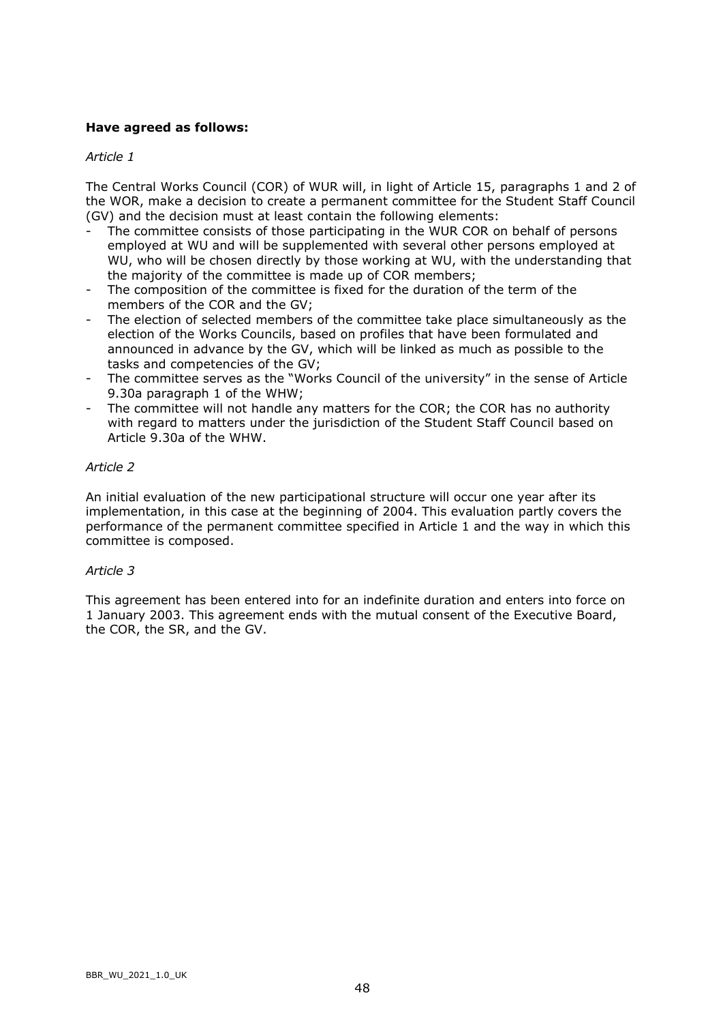# **Have agreed as follows:**

### *Article 1*

The Central Works Council (COR) of WUR will, in light of Article 15, paragraphs 1 and 2 of the WOR, make a decision to create a permanent committee for the Student Staff Council (GV) and the decision must at least contain the following elements:

- The committee consists of those participating in the WUR COR on behalf of persons employed at WU and will be supplemented with several other persons employed at WU, who will be chosen directly by those working at WU, with the understanding that the majority of the committee is made up of COR members;
- The composition of the committee is fixed for the duration of the term of the members of the COR and the GV;
- The election of selected members of the committee take place simultaneously as the election of the Works Councils, based on profiles that have been formulated and announced in advance by the GV, which will be linked as much as possible to the tasks and competencies of the GV;
- The committee serves as the "Works Council of the university" in the sense of Article 9.30a paragraph 1 of the WHW;
- The committee will not handle any matters for the COR; the COR has no authority with regard to matters under the jurisdiction of the Student Staff Council based on Article 9.30a of the WHW.

### *Article 2*

An initial evaluation of the new participational structure will occur one year after its implementation, in this case at the beginning of 2004. This evaluation partly covers the performance of the permanent committee specified in Article 1 and the way in which this committee is composed.

#### *Article 3*

This agreement has been entered into for an indefinite duration and enters into force on 1 January 2003. This agreement ends with the mutual consent of the Executive Board, the COR, the SR, and the GV.